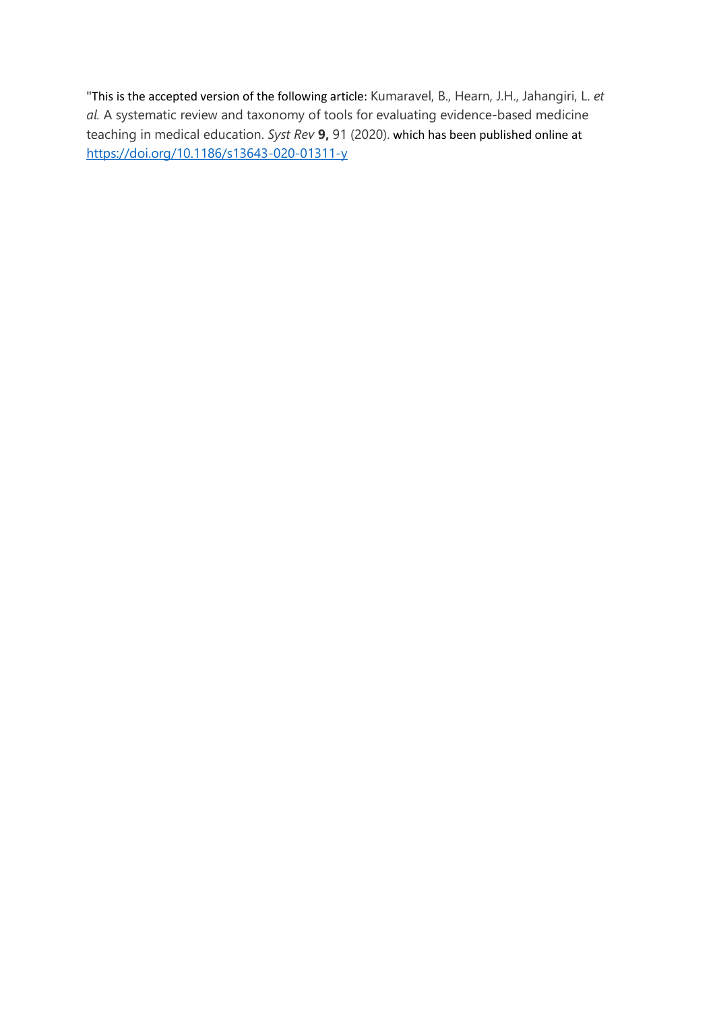"This is the accepted version of the following article: Kumaravel, B., Hearn, J.H., Jahangiri, L. *et al.* A systematic review and taxonomy of tools for evaluating evidence-based medicine teaching in medical education. *Syst Rev* **9,** 91 (2020). which has been published online at <https://doi.org/10.1186/s13643-020-01311-y>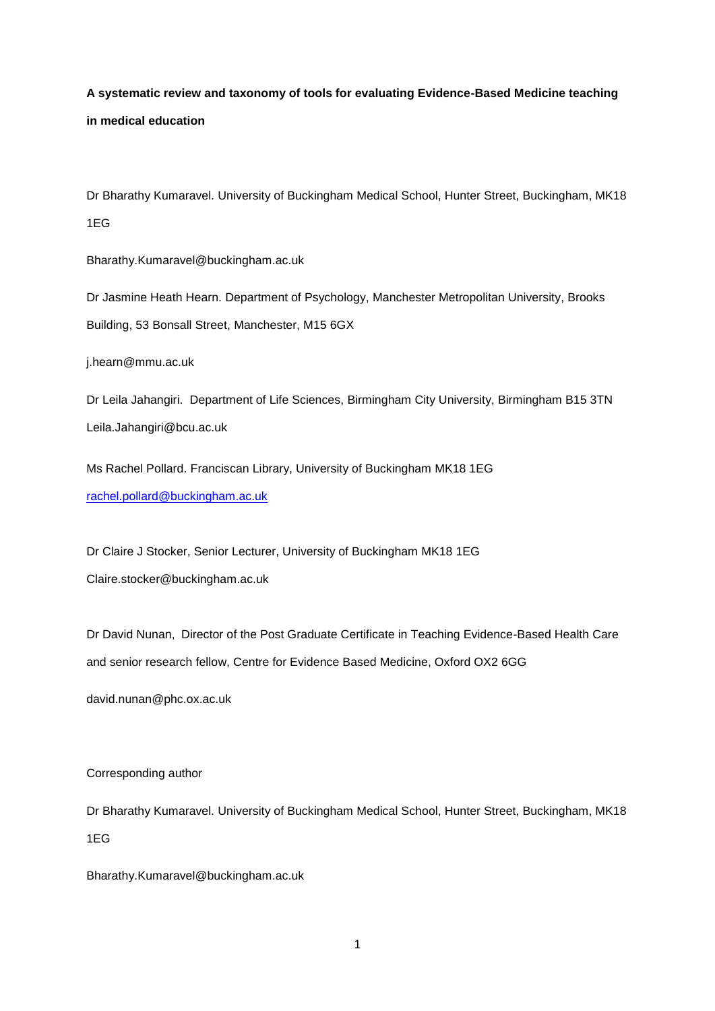# **A systematic review and taxonomy of tools for evaluating Evidence-Based Medicine teaching in medical education**

Dr Bharathy Kumaravel. University of Buckingham Medical School, Hunter Street, Buckingham, MK18 1EG

Bharathy.Kumaravel@buckingham.ac.uk

Dr Jasmine Heath Hearn. Department of Psychology, Manchester Metropolitan University, Brooks Building, 53 Bonsall Street, Manchester, M15 6GX

[j.hearn@mmu.ac.uk](mailto:j.hearn@mmu.ac.uk)

Dr Leila Jahangiri. Department of Life Sciences, Birmingham City University, Birmingham B15 3TN Leila.Jahangiri@bcu.ac.uk

Ms Rachel Pollard. Franciscan Library, University of Buckingham MK18 1EG [rachel.pollard@buckingham.ac.uk](mailto:rachel.pollard@buckingham.ac.uk)

Dr Claire J Stocker, Senior Lecturer, University of Buckingham MK18 1EG Claire.stocker@buckingham.ac.uk

Dr David Nunan, Director of the Post Graduate Certificate in Teaching Evidence-Based Health Care and senior research fellow, Centre for Evidence Based Medicine, Oxford OX2 6GG

david.nunan@phc.ox.ac.uk

Corresponding author

Dr Bharathy Kumaravel. University of Buckingham Medical School, Hunter Street, Buckingham, MK18 1EG

Bharathy.Kumaravel@buckingham.ac.uk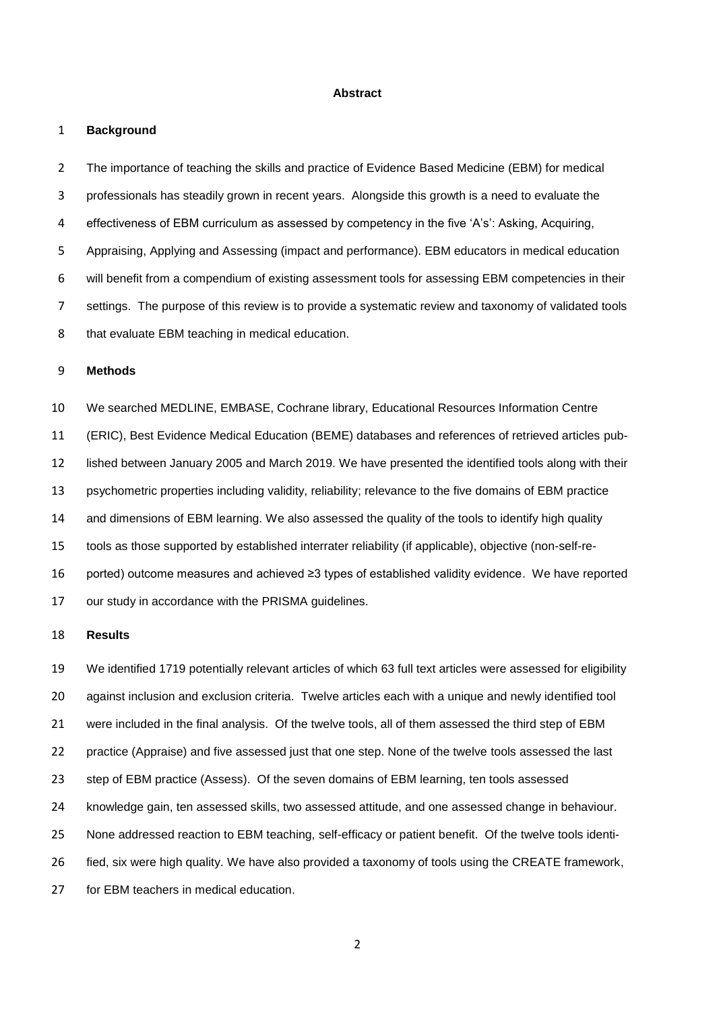#### **Abstract**

#### **Background**

 The importance of teaching the skills and practice of Evidence Based Medicine (EBM) for medical professionals has steadily grown in recent years. Alongside this growth is a need to evaluate the effectiveness of EBM curriculum as assessed by competency in the five 'A's': Asking, Acquiring, Appraising, Applying and Assessing (impact and performance). EBM educators in medical education will benefit from a compendium of existing assessment tools for assessing EBM competencies in their settings. The purpose of this review is to provide a systematic review and taxonomy of validated tools 8 that evaluate EBM teaching in medical education.

#### **Methods**

 We searched MEDLINE, EMBASE, Cochrane library, Educational Resources Information Centre (ERIC), Best Evidence Medical Education (BEME) databases and references of retrieved articles pub- lished between January 2005 and March 2019. We have presented the identified tools along with their psychometric properties including validity, reliability; relevance to the five domains of EBM practice and dimensions of EBM learning. We also assessed the quality of the tools to identify high quality tools as those supported by established interrater reliability (if applicable), objective (non-self-re- ported) outcome measures and achieved ≥3 types of established validity evidence. We have reported our study in accordance with the PRISMA guidelines.

#### **Results**

 We identified 1719 potentially relevant articles of which 63 full text articles were assessed for eligibility against inclusion and exclusion criteria. Twelve articles each with a unique and newly identified tool were included in the final analysis. Of the twelve tools, all of them assessed the third step of EBM practice (Appraise) and five assessed just that one step. None of the twelve tools assessed the last step of EBM practice (Assess). Of the seven domains of EBM learning, ten tools assessed knowledge gain, ten assessed skills, two assessed attitude, and one assessed change in behaviour. None addressed reaction to EBM teaching, self-efficacy or patient benefit. Of the twelve tools identi- fied, six were high quality. We have also provided a taxonomy of tools using the CREATE framework, for EBM teachers in medical education.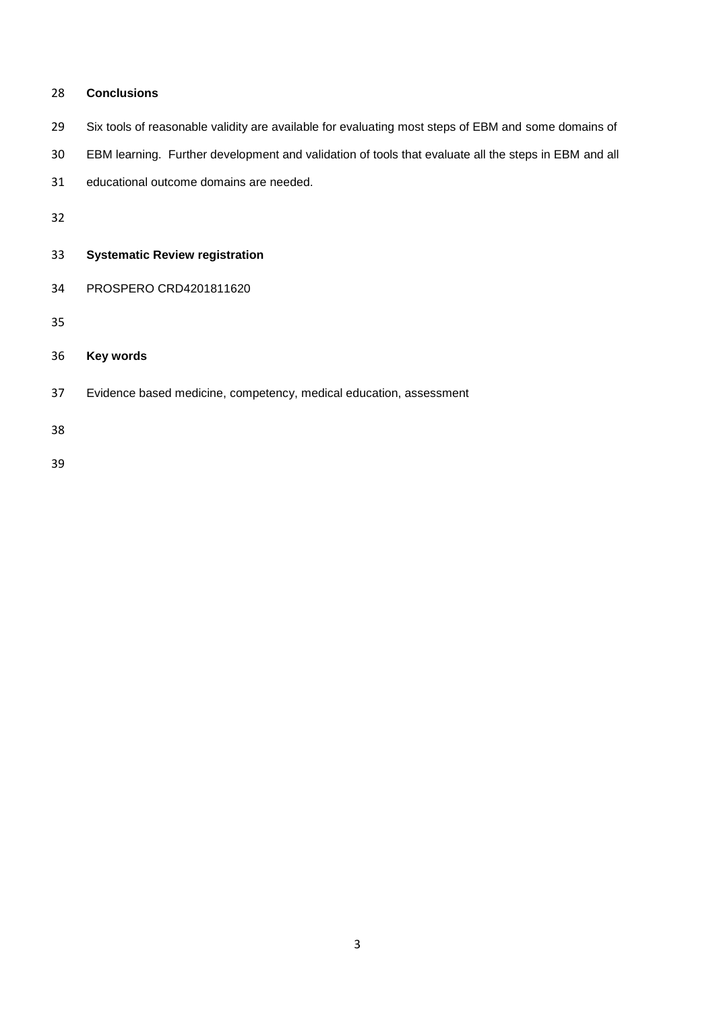| 28 | <b>Conclusions</b>                                                                                   |
|----|------------------------------------------------------------------------------------------------------|
| 29 | Six tools of reasonable validity are available for evaluating most steps of EBM and some domains of  |
| 30 | EBM learning. Further development and validation of tools that evaluate all the steps in EBM and all |
| 31 | educational outcome domains are needed.                                                              |
| 32 |                                                                                                      |
| 33 | <b>Systematic Review registration</b>                                                                |
| 34 | PROSPERO CRD4201811620                                                                               |
| 35 |                                                                                                      |
| 36 | Key words                                                                                            |
| 37 | Evidence based medicine, competency, medical education, assessment                                   |
| 38 |                                                                                                      |
| 39 |                                                                                                      |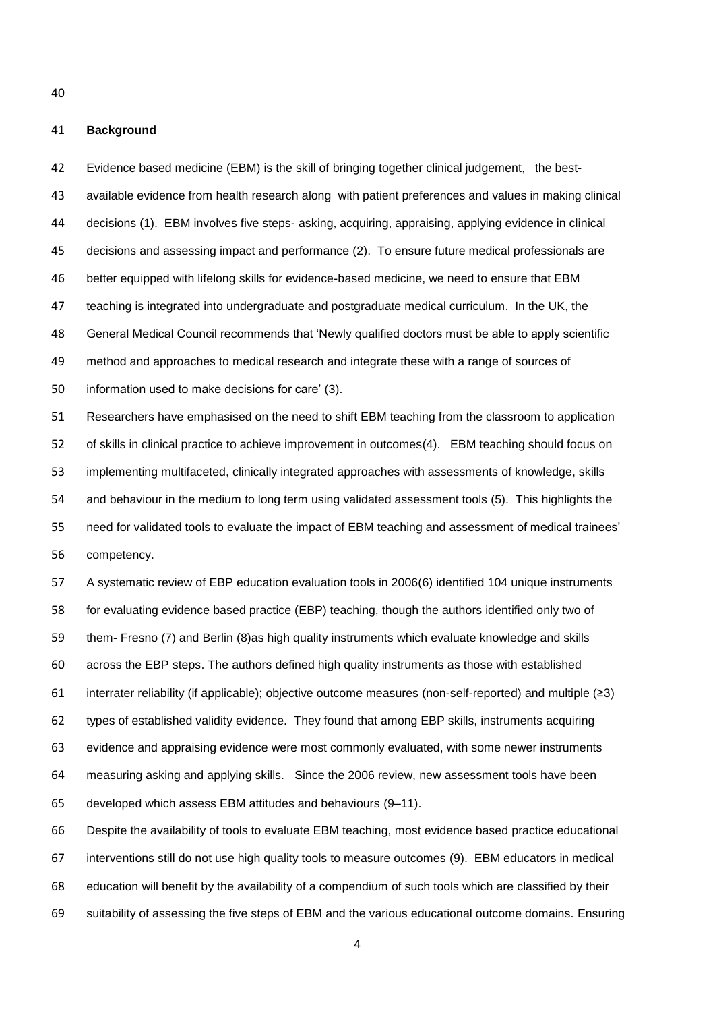**Background**

 Evidence based medicine (EBM) is the skill of bringing together clinical judgement, the best- available evidence from health research along with patient preferences and values in making clinical decisions (1). EBM involves five steps- asking, acquiring, appraising, applying evidence in clinical decisions and assessing impact and performance (2). To ensure future medical professionals are better equipped with lifelong skills for evidence-based medicine, we need to ensure that EBM teaching is integrated into undergraduate and postgraduate medical curriculum. In the UK, the General Medical Council recommends that 'Newly qualified doctors must be able to apply scientific method and approaches to medical research and integrate these with a range of sources of information used to make decisions for care' (3). Researchers have emphasised on the need to shift EBM teaching from the classroom to application of skills in clinical practice to achieve improvement in outcomes(4). EBM teaching should focus on implementing multifaceted, clinically integrated approaches with assessments of knowledge, skills and behaviour in the medium to long term using validated assessment tools (5). This highlights the need for validated tools to evaluate the impact of EBM teaching and assessment of medical trainees' competency. A systematic review of EBP education evaluation tools in 2006(6) identified 104 unique instruments

 for evaluating evidence based practice (EBP) teaching, though the authors identified only two of them- Fresno (7) and Berlin (8)as high quality instruments which evaluate knowledge and skills across the EBP steps. The authors defined high quality instruments as those with established interrater reliability (if applicable); objective outcome measures (non-self-reported) and multiple (≥3) types of established validity evidence. They found that among EBP skills, instruments acquiring evidence and appraising evidence were most commonly evaluated, with some newer instruments measuring asking and applying skills. Since the 2006 review, new assessment tools have been developed which assess EBM attitudes and behaviours (9–11).

 Despite the availability of tools to evaluate EBM teaching, most evidence based practice educational interventions still do not use high quality tools to measure outcomes (9). EBM educators in medical education will benefit by the availability of a compendium of such tools which are classified by their suitability of assessing the five steps of EBM and the various educational outcome domains. Ensuring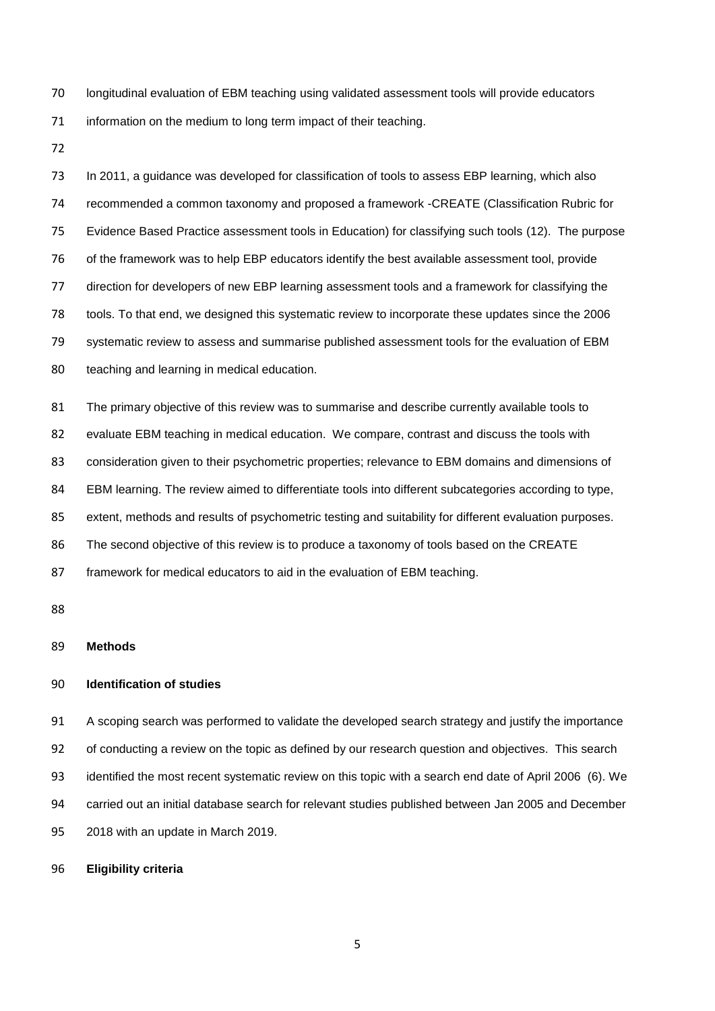longitudinal evaluation of EBM teaching using validated assessment tools will provide educators 71 information on the medium to long term impact of their teaching.

73 In 2011, a guidance was developed for classification of tools to assess EBP learning, which also recommended a common taxonomy and proposed a framework -CREATE (Classification Rubric for Evidence Based Practice assessment tools in Education) for classifying such tools (12). The purpose of the framework was to help EBP educators identify the best available assessment tool, provide direction for developers of new EBP learning assessment tools and a framework for classifying the tools. To that end, we designed this systematic review to incorporate these updates since the 2006 systematic review to assess and summarise published assessment tools for the evaluation of EBM teaching and learning in medical education.

 The primary objective of this review was to summarise and describe currently available tools to evaluate EBM teaching in medical education. We compare, contrast and discuss the tools with 83 consideration given to their psychometric properties; relevance to EBM domains and dimensions of EBM learning. The review aimed to differentiate tools into different subcategories according to type, extent, methods and results of psychometric testing and suitability for different evaluation purposes. The second objective of this review is to produce a taxonomy of tools based on the CREATE framework for medical educators to aid in the evaluation of EBM teaching.

#### **Methods**

#### **Identification of studies**

 A scoping search was performed to validate the developed search strategy and justify the importance of conducting a review on the topic as defined by our research question and objectives. This search identified the most recent systematic review on this topic with a search end date of April 2006 (6). We carried out an initial database search for relevant studies published between Jan 2005 and December 2018 with an update in March 2019.

**Eligibility criteria**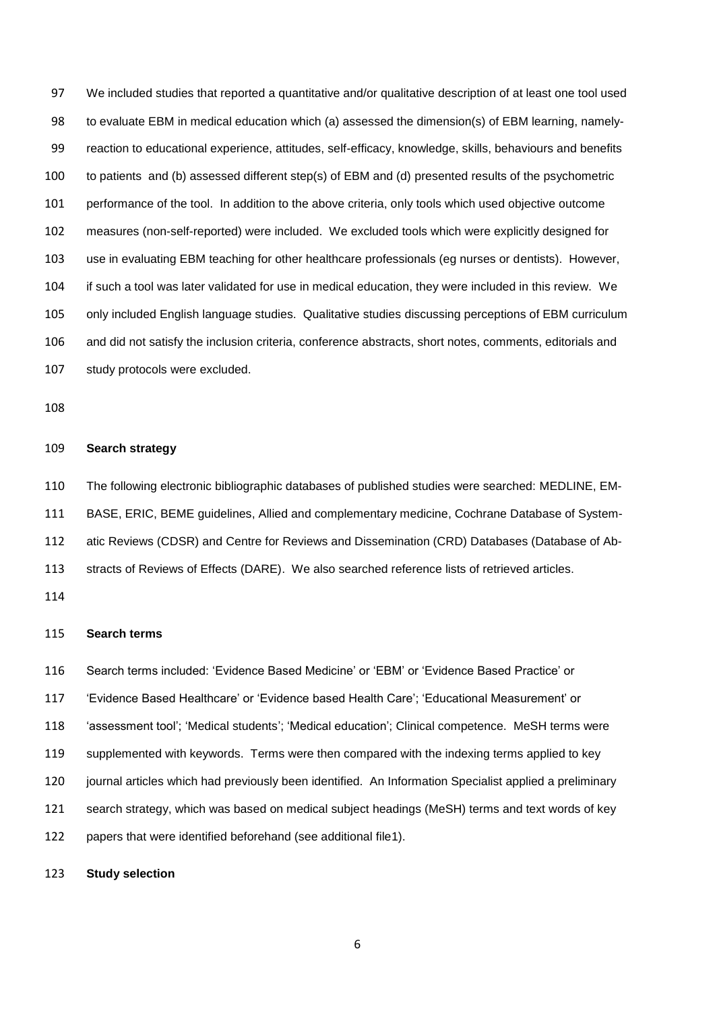We included studies that reported a quantitative and/or qualitative description of at least one tool used to evaluate EBM in medical education which (a) assessed the dimension(s) of EBM learning, namely- reaction to educational experience, attitudes, self-efficacy, knowledge, skills, behaviours and benefits to patients and (b) assessed different step(s) of EBM and (d) presented results of the psychometric performance of the tool. In addition to the above criteria, only tools which used objective outcome measures (non-self-reported) were included. We excluded tools which were explicitly designed for use in evaluating EBM teaching for other healthcare professionals (eg nurses or dentists). However, if such a tool was later validated for use in medical education, they were included in this review. We only included English language studies. Qualitative studies discussing perceptions of EBM curriculum and did not satisfy the inclusion criteria, conference abstracts, short notes, comments, editorials and study protocols were excluded.

#### **Search strategy**

The following electronic bibliographic databases of published studies were searched: MEDLINE, EM-

BASE, ERIC, BEME guidelines, Allied and complementary medicine, Cochrane Database of System-

atic Reviews (CDSR) and Centre for Reviews and Dissemination (CRD) Databases (Database of Ab-

stracts of Reviews of Effects (DARE). We also searched reference lists of retrieved articles.

#### **Search terms**

Search terms included: 'Evidence Based Medicine' or 'EBM' or 'Evidence Based Practice' or

'Evidence Based Healthcare' or 'Evidence based Health Care'; 'Educational Measurement' or

'assessment tool'; 'Medical students'; 'Medical education'; Clinical competence. MeSH terms were

supplemented with keywords. Terms were then compared with the indexing terms applied to key

journal articles which had previously been identified. An Information Specialist applied a preliminary

search strategy, which was based on medical subject headings (MeSH) terms and text words of key

papers that were identified beforehand (see additional file1).

**Study selection**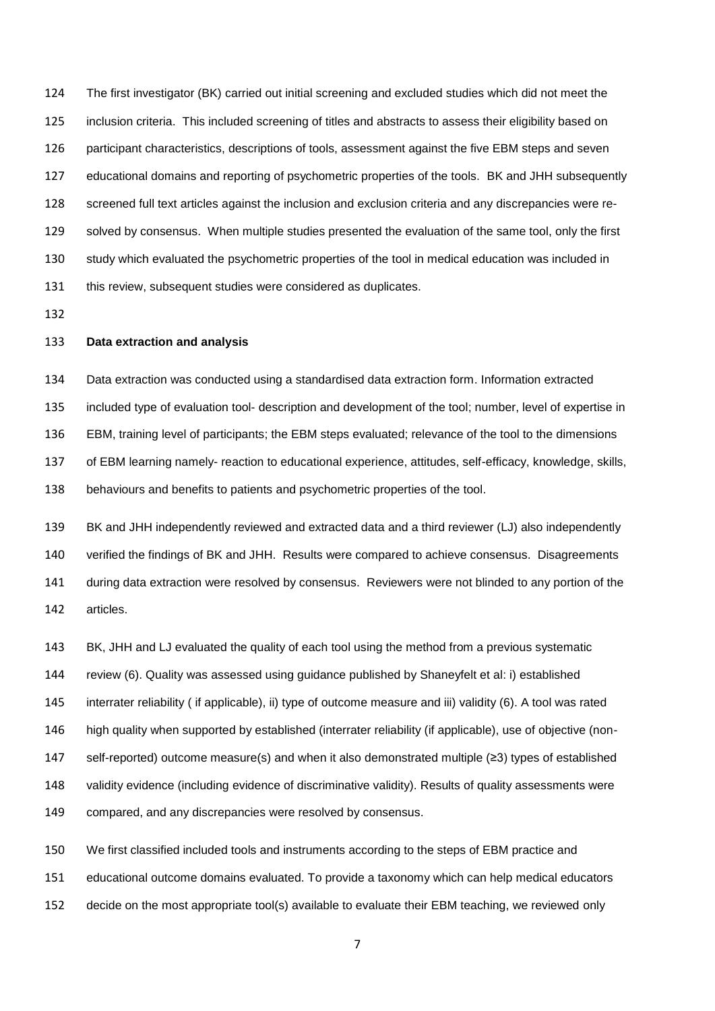The first investigator (BK) carried out initial screening and excluded studies which did not meet the inclusion criteria. This included screening of titles and abstracts to assess their eligibility based on participant characteristics, descriptions of tools, assessment against the five EBM steps and seven educational domains and reporting of psychometric properties of the tools. BK and JHH subsequently screened full text articles against the inclusion and exclusion criteria and any discrepancies were re- solved by consensus. When multiple studies presented the evaluation of the same tool, only the first study which evaluated the psychometric properties of the tool in medical education was included in 131 this review, subsequent studies were considered as duplicates.

#### **Data extraction and analysis**

 Data extraction was conducted using a standardised data extraction form. Information extracted included type of evaluation tool- description and development of the tool; number, level of expertise in EBM, training level of participants; the EBM steps evaluated; relevance of the tool to the dimensions of EBM learning namely- reaction to educational experience, attitudes, self-efficacy, knowledge, skills, behaviours and benefits to patients and psychometric properties of the tool.

 BK and JHH independently reviewed and extracted data and a third reviewer (LJ) also independently verified the findings of BK and JHH. Results were compared to achieve consensus. Disagreements during data extraction were resolved by consensus. Reviewers were not blinded to any portion of the articles.

 BK, JHH and LJ evaluated the quality of each tool using the method from a previous systematic review (6). Quality was assessed using guidance published by Shaneyfelt et al: i) established interrater reliability ( if applicable), ii) type of outcome measure and iii) validity (6). A tool was rated high quality when supported by established (interrater reliability (if applicable), use of objective (non- self-reported) outcome measure(s) and when it also demonstrated multiple (≥3) types of established validity evidence (including evidence of discriminative validity). Results of quality assessments were compared, and any discrepancies were resolved by consensus.

 We first classified included tools and instruments according to the steps of EBM practice and educational outcome domains evaluated. To provide a taxonomy which can help medical educators decide on the most appropriate tool(s) available to evaluate their EBM teaching, we reviewed only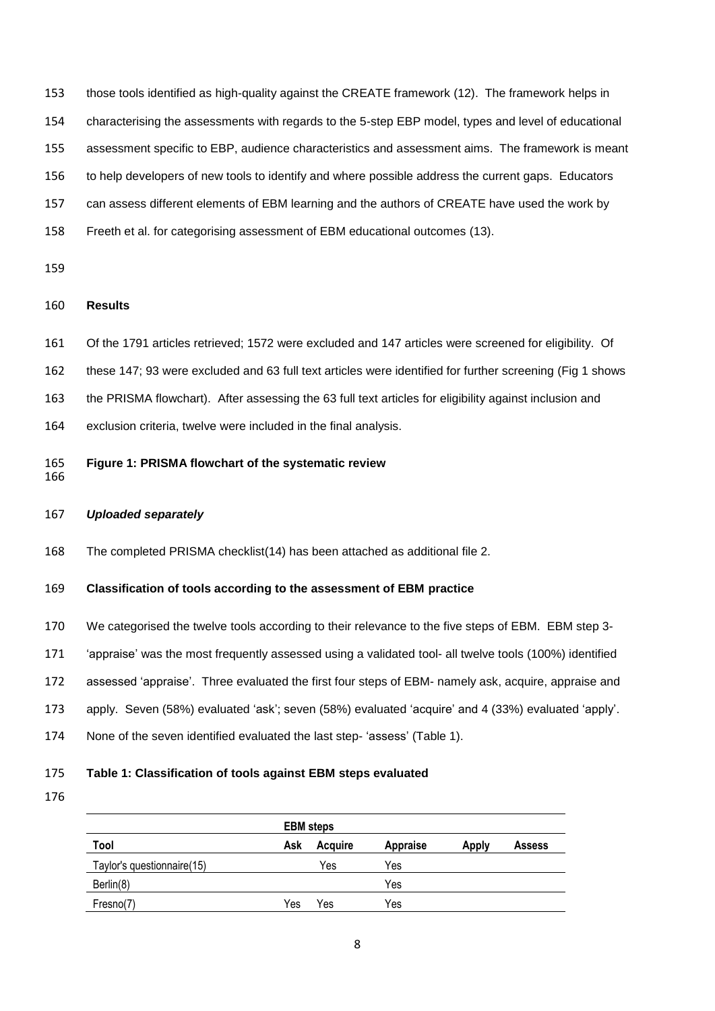those tools identified as high-quality against the CREATE framework (12). The framework helps in characterising the assessments with regards to the 5-step EBP model, types and level of educational assessment specific to EBP, audience characteristics and assessment aims. The framework is meant to help developers of new tools to identify and where possible address the current gaps. Educators can assess different elements of EBM learning and the authors of CREATE have used the work by Freeth et al. for categorising assessment of EBM educational outcomes (13).

#### **Results**

- Of the 1791 articles retrieved; 1572 were excluded and 147 articles were screened for eligibility. Of
- these 147; 93 were excluded and 63 full text articles were identified for further screening (Fig 1 shows
- the PRISMA flowchart). After assessing the 63 full text articles for eligibility against inclusion and
- exclusion criteria, twelve were included in the final analysis.
- **Figure 1: PRISMA flowchart of the systematic review**
- 

#### *Uploaded separately*

The completed PRISMA checklist(14) has been attached as additional file 2.

#### **Classification of tools according to the assessment of EBM practice**

- We categorised the twelve tools according to their relevance to the five steps of EBM. EBM step 3-
- 'appraise' was the most frequently assessed using a validated tool- all twelve tools (100%) identified
- assessed 'appraise'. Three evaluated the first four steps of EBM- namely ask, acquire, appraise and
- apply. Seven (58%) evaluated 'ask'; seven (58%) evaluated 'acquire' and 4 (33%) evaluated 'apply'.
- None of the seven identified evaluated the last step- 'assess' (Table 1).

#### **Table 1: Classification of tools against EBM steps evaluated**

| Tool                       | Ask | Acquire | <b>Appraise</b> | <b>Apply</b> | <b>Assess</b> |
|----------------------------|-----|---------|-----------------|--------------|---------------|
| Taylor's questionnaire(15) |     | Yes     | Yes             |              |               |
| Berlin(8)                  |     |         | Yes             |              |               |
| Fresno(7)                  | Yes | Yes     | Yes             |              |               |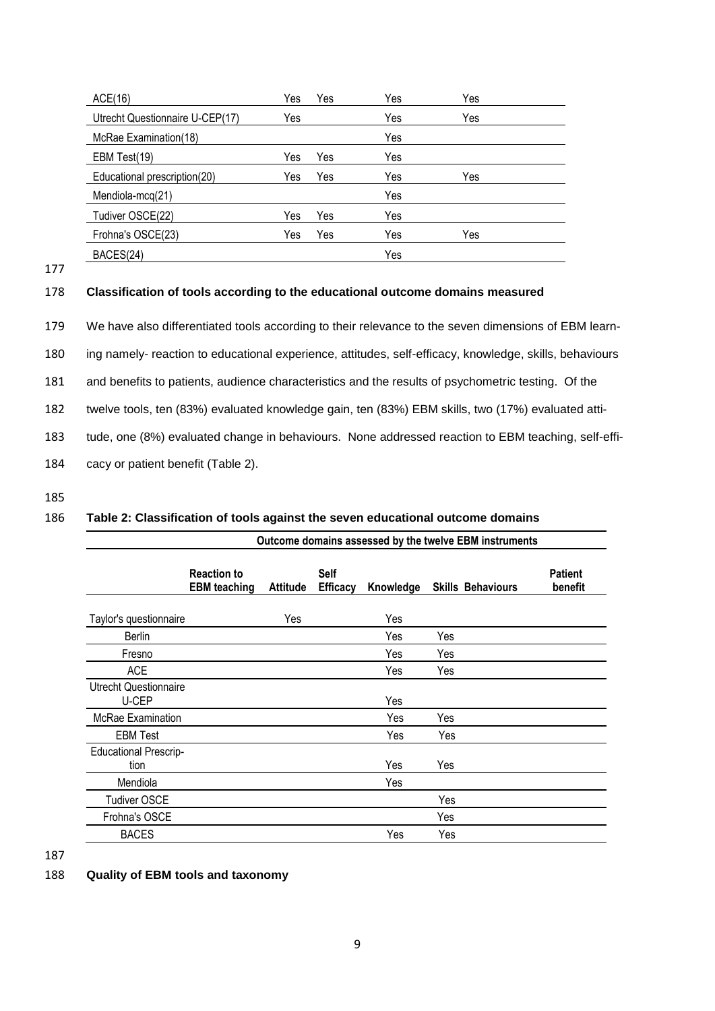| ACE(16)                         | Yes | Yes | Yes | Yes |  |
|---------------------------------|-----|-----|-----|-----|--|
| Utrecht Questionnaire U-CEP(17) | Yes |     | Yes | Yes |  |
| McRae Examination(18)           |     |     | Yes |     |  |
| EBM Test(19)                    | Yes | Yes | Yes |     |  |
| Educational prescription(20)    | Yes | Yes | Yes | Yes |  |
| Mendiola-mcq(21)                |     |     | Yes |     |  |
| Tudiver OSCE(22)                | Yes | Yes | Yes |     |  |
| Frohna's OSCE(23)               | Yes | Yes | Yes | Yes |  |
| BACES(24)                       |     |     | Yes |     |  |

177

### 178 **Classification of tools according to the educational outcome domains measured**

179 We have also differentiated tools according to their relevance to the seven dimensions of EBM learn-

180 ing namely- reaction to educational experience, attitudes, self-efficacy, knowledge, skills, behaviours

181 and benefits to patients, audience characteristics and the results of psychometric testing. Of the

182 twelve tools, ten (83%) evaluated knowledge gain, ten (83%) EBM skills, two (17%) evaluated atti-

183 tude, one (8%) evaluated change in behaviours. None addressed reaction to EBM teaching, self-effi-

184 cacy or patient benefit (Table 2).

185

### 186 **Table 2: Classification of tools against the seven educational outcome domains**

|                                       | Outcome domains assessed by the twelve EBM instruments |                 |                         |           |     |                          |                           |
|---------------------------------------|--------------------------------------------------------|-----------------|-------------------------|-----------|-----|--------------------------|---------------------------|
|                                       | <b>Reaction to</b><br><b>EBM</b> teaching              | <b>Attitude</b> | Self<br><b>Efficacy</b> | Knowledge |     | <b>Skills Behaviours</b> | <b>Patient</b><br>benefit |
| Taylor's questionnaire                |                                                        | Yes             |                         | Yes       |     |                          |                           |
| <b>Berlin</b>                         |                                                        |                 |                         | Yes       | Yes |                          |                           |
| Fresno                                |                                                        |                 |                         | Yes       | Yes |                          |                           |
| <b>ACE</b>                            |                                                        |                 |                         | Yes       | Yes |                          |                           |
| <b>Utrecht Questionnaire</b><br>U-CEP |                                                        |                 |                         | Yes       |     |                          |                           |
| McRae Examination                     |                                                        |                 |                         | Yes       | Yes |                          |                           |
| <b>EBM Test</b>                       |                                                        |                 |                         | Yes       | Yes |                          |                           |
| <b>Educational Prescrip-</b><br>tion  |                                                        |                 |                         | Yes       | Yes |                          |                           |
| Mendiola                              |                                                        |                 |                         | Yes       |     |                          |                           |
| <b>Tudiver OSCE</b>                   |                                                        |                 |                         |           | Yes |                          |                           |
| Frohna's OSCE                         |                                                        |                 |                         |           | Yes |                          |                           |
| <b>BACES</b>                          |                                                        |                 |                         | Yes       | Yes |                          |                           |
|                                       |                                                        |                 |                         |           |     |                          |                           |

187

### 188 **Quality of EBM tools and taxonomy**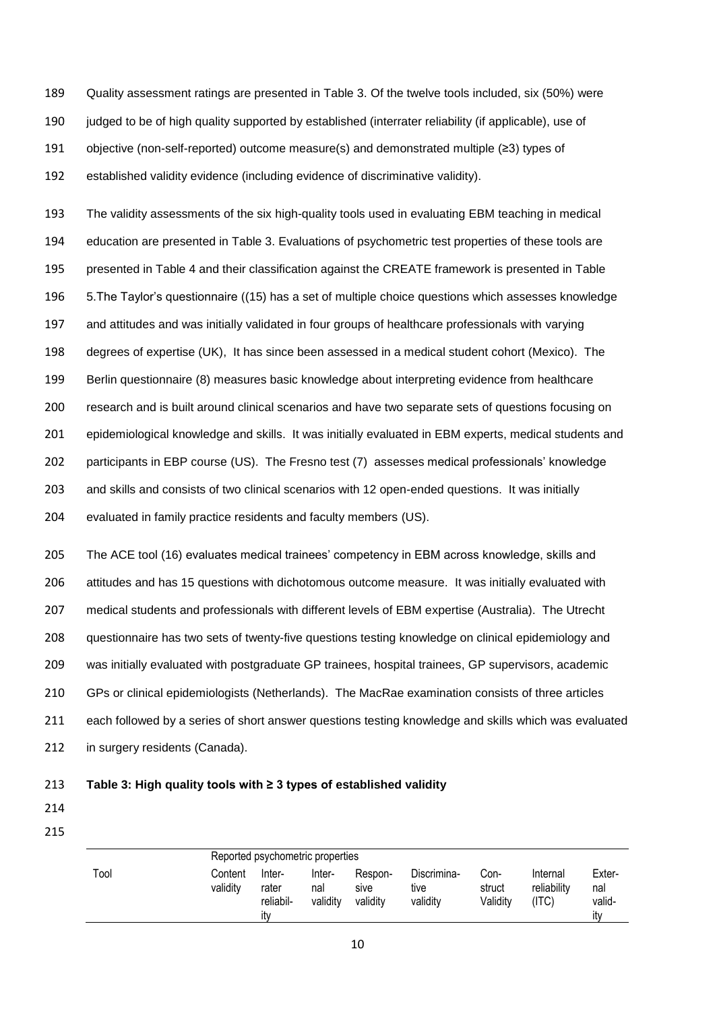Quality assessment ratings are presented in Table 3. Of the twelve tools included, six (50%) were 190 judged to be of high quality supported by established (interrater reliability (if applicable), use of objective (non-self-reported) outcome measure(s) and demonstrated multiple (≥3) types of established validity evidence (including evidence of discriminative validity).

 The validity assessments of the six high-quality tools used in evaluating EBM teaching in medical education are presented in Table 3. Evaluations of psychometric test properties of these tools are presented in Table 4 and their classification against the CREATE framework is presented in Table 5.The Taylor's questionnaire ((15) has a set of multiple choice questions which assesses knowledge and attitudes and was initially validated in four groups of healthcare professionals with varying degrees of expertise (UK), It has since been assessed in a medical student cohort (Mexico). The Berlin questionnaire (8) measures basic knowledge about interpreting evidence from healthcare research and is built around clinical scenarios and have two separate sets of questions focusing on epidemiological knowledge and skills. It was initially evaluated in EBM experts, medical students and participants in EBP course (US). The Fresno test (7) assesses medical professionals' knowledge and skills and consists of two clinical scenarios with 12 open-ended questions. It was initially evaluated in family practice residents and faculty members (US).

 The ACE tool (16) evaluates medical trainees' competency in EBM across knowledge, skills and attitudes and has 15 questions with dichotomous outcome measure. It was initially evaluated with medical students and professionals with different levels of EBM expertise (Australia). The Utrecht questionnaire has two sets of twenty-five questions testing knowledge on clinical epidemiology and was initially evaluated with postgraduate GP trainees, hospital trainees, GP supervisors, academic GPs or clinical epidemiologists (Netherlands). The MacRae examination consists of three articles each followed by a series of short answer questions testing knowledge and skills which was evaluated 212 in surgery residents (Canada).

#### 213 **Table 3: High quality tools with ≥ 3 types of established validity**

- 214 215
- Reported psychometric properties Tool Content validity Interrater reliability Internal validity Responsive validity Discriminative validity Construct Validity Internal reliability (ITC) External validity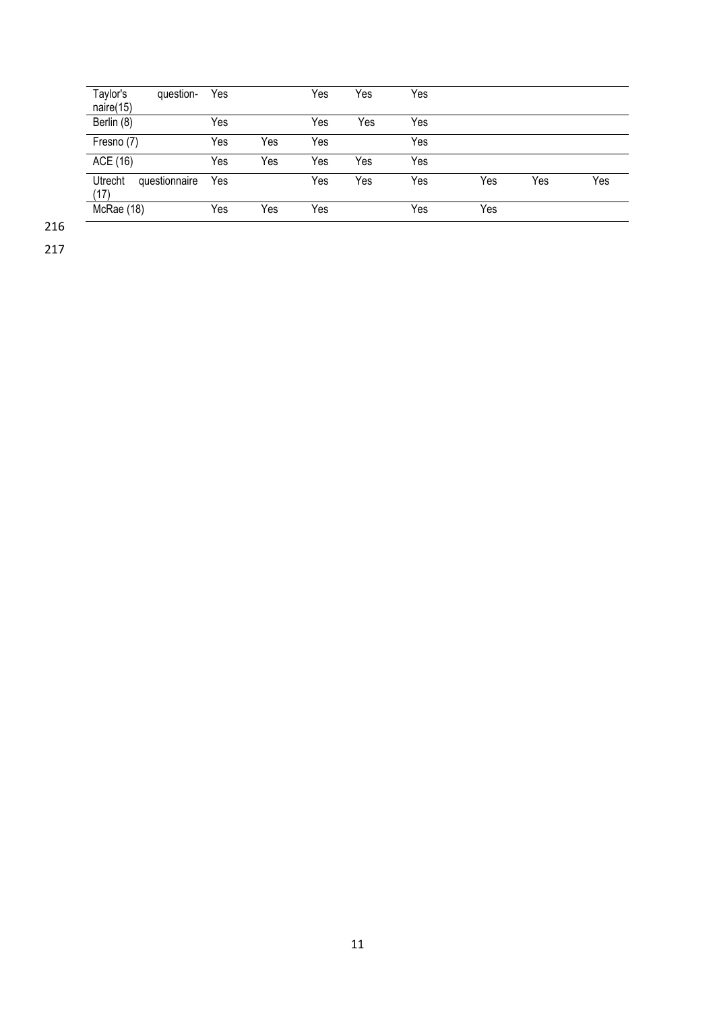| Taylor's<br>question-<br>naire(15) | Yes |     | Yes | Yes | Yes |     |     |     |
|------------------------------------|-----|-----|-----|-----|-----|-----|-----|-----|
| Berlin (8)                         | Yes |     | Yes | Yes | Yes |     |     |     |
| Fresno (7)                         | Yes | Yes | Yes |     | Yes |     |     |     |
| ACE (16)                           | Yes | Yes | Yes | Yes | Yes |     |     |     |
| Utrecht<br>questionnaire<br>(17)   | Yes |     | Yes | Yes | Yes | Yes | Yes | Yes |
| McRae (18)                         | Yes | Yes | Yes |     | Yes | Yes |     |     |

216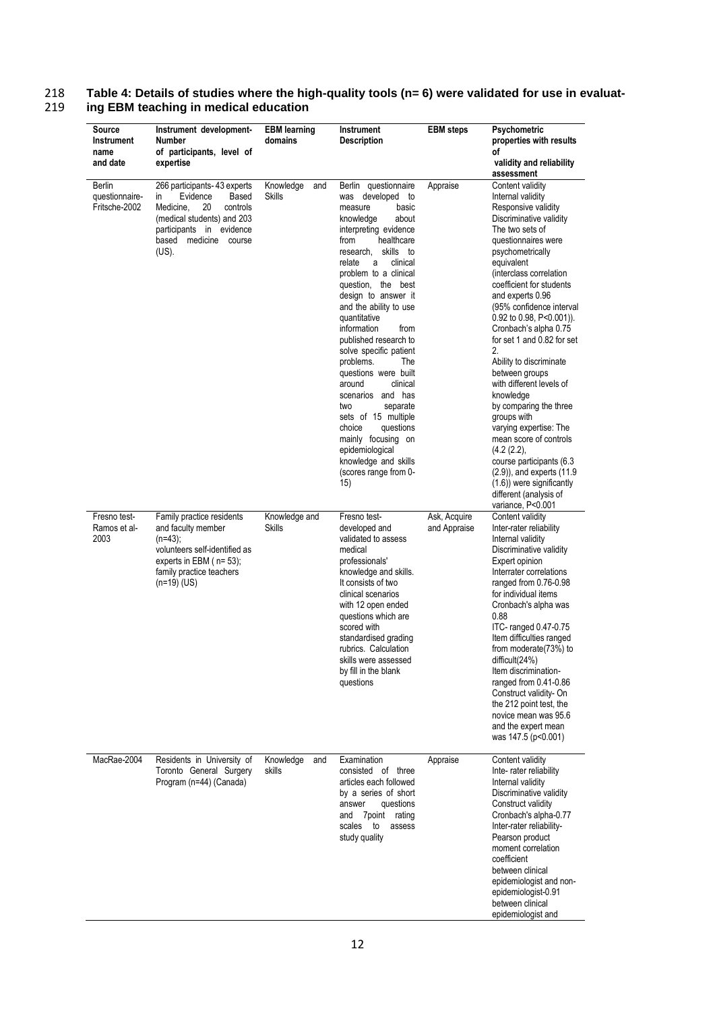#### **Source Instrument name and date Instrument development-Number of participants, level of expertise EBM learning domains Instrument Description EBM steps Psychometric properties with results of validity and reliability assessment** Berlin questionnaire-Fritsche-2002 266 participants- 43 experts<br>in Evidence Based in Evidence Based<br>Medicine 20 controls Medicine, 20 (medical students) and 203 participants in evidence based medicine course (US). Knowledge and Skills Berlin questionnaire was developed to measure basic<br>
knowledge about knowledge interpreting evidence from healthcare research, skills to relate a clinical problem to a clinical question, the best design to answer it and the ability to use quantitative information from published research to solve specific patient problems. The questions were built<br>around clinical around scenarios and has two separate sets of 15 multiple choice questions mainly focusing on epidemiological knowledge and skills (scores range from 0-  $15)$ Appraise Content validity Internal validity Responsive validity Discriminative validity The two sets of questionnaires were psychometrically equivalent (interclass correlation coefficient for students and experts 0.96 (95% confidence interval 0.92 to 0.98, P<0.001)). Cronbach's alpha 0.75 for set 1 and 0.82 for set 2. Ability to discriminate between groups with different levels of knowledge by comparing the three groups with varying expertise: The mean score of controls (4.2 (2.2), course participants (6.3 (2.9)), and experts (11.9  $(1.6)$ ) were significantly different (analysis of variance, P<0.001 Fresno test-Ramos et al-2003 Family practice residents and faculty member (n=43); volunteers self-identified as experts in EBM ( n= 53); family practice teachers  $(n=19)(US)$ Knowledge and **Skills** Fresno testdeveloped and validated to assess medical professionals' knowledge and skills. It consists of two clinical scenarios with 12 open ended questions which are scored with standardised grading rubrics. Calculation skills were assessed by fill in the blank questions Ask, Acquire and Appraise Content validity Inter-rater reliability Internal validity Discriminative validity Expert opinion Interrater correlations ranged from 0.76-0.98 for individual items Cronbach's alpha was 0.88 ITC- ranged 0.47-0.75 Item difficulties ranged from moderate(73%) to difficult(24%) Item discriminationranged from 0.41-0.86 Construct validity- On the 212 point test, the novice mean was 95.6 and the expert mean was 147.5 (p<0.001)

# 218 **Table 4: Details of studies where the high-quality tools (n= 6) were validated for use in evaluat-**219 **ing EBM teaching in medical education**

|                                                                                                 |                     |     |                                                                                                                                                                                         |          | and the expert mean<br>was 147.5 (p<0.001)                                                                                                                                                                                                                                                                                                    |
|-------------------------------------------------------------------------------------------------|---------------------|-----|-----------------------------------------------------------------------------------------------------------------------------------------------------------------------------------------|----------|-----------------------------------------------------------------------------------------------------------------------------------------------------------------------------------------------------------------------------------------------------------------------------------------------------------------------------------------------|
| MacRae-2004<br>Residents in University of<br>Toronto General Surgery<br>Program (n=44) (Canada) | Knowledge<br>skills | and | Examination<br>of<br>three<br>consisted<br>articles each followed<br>by a series of short<br>questions<br>answer<br>7 point<br>rating<br>and<br>scales<br>to<br>assess<br>study quality | Appraise | Content validity<br>Inte-rater reliability<br>Internal validity<br>Discriminative validity<br>Construct validity<br>Cronbach's alpha-0.77<br>Inter-rater reliability-<br>Pearson product<br>moment correlation<br>coefficient<br>between clinical<br>epidemiologist and non-<br>epidemiologist-0.91<br>between clinical<br>epidemiologist and |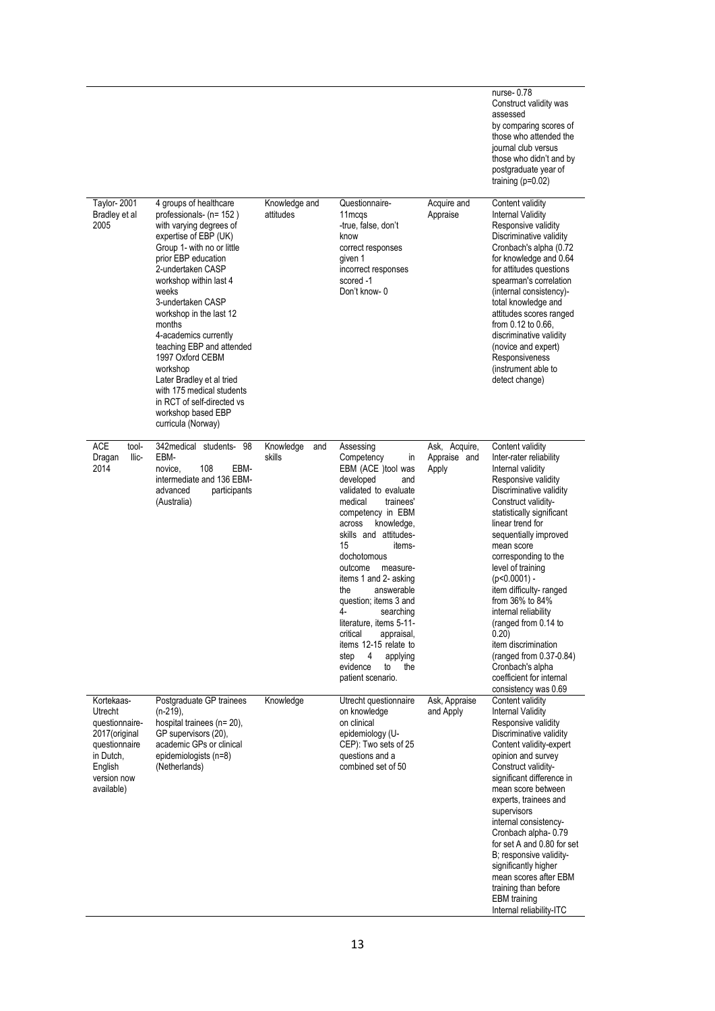|                                                                                                                                 |                                                                                                                                                                                                                                                                                                                                                                                                                                                                                                        |                            |                                                                                                                                                                                                                                                                                                                                                                                                                                                                                                     |                                        | nurse-0.78<br>Construct validity was<br>assessed<br>by comparing scores of<br>those who attended the<br>journal club versus<br>those who didn't and by<br>postgraduate year of<br>training $(p=0.02)$                                                                                                                                                                                                                                                                                                                                  |
|---------------------------------------------------------------------------------------------------------------------------------|--------------------------------------------------------------------------------------------------------------------------------------------------------------------------------------------------------------------------------------------------------------------------------------------------------------------------------------------------------------------------------------------------------------------------------------------------------------------------------------------------------|----------------------------|-----------------------------------------------------------------------------------------------------------------------------------------------------------------------------------------------------------------------------------------------------------------------------------------------------------------------------------------------------------------------------------------------------------------------------------------------------------------------------------------------------|----------------------------------------|----------------------------------------------------------------------------------------------------------------------------------------------------------------------------------------------------------------------------------------------------------------------------------------------------------------------------------------------------------------------------------------------------------------------------------------------------------------------------------------------------------------------------------------|
| <b>Taylor-2001</b><br>Bradley et al<br>2005                                                                                     | 4 groups of healthcare<br>professionals- (n= 152)<br>with varying degrees of<br>expertise of EBP (UK)<br>Group 1- with no or little<br>prior EBP education<br>2-undertaken CASP<br>workshop within last 4<br>weeks<br>3-undertaken CASP<br>workshop in the last 12<br>months<br>4-academics currently<br>teaching EBP and attended<br>1997 Oxford CEBM<br>workshop<br>Later Bradley et al tried<br>with 175 medical students<br>in RCT of self-directed vs<br>workshop based EBP<br>curricula (Norway) | Knowledge and<br>attitudes | Questionnaire-<br>11 m cas<br>-true, false, don't<br>know<br>correct responses<br>given 1<br>incorrect responses<br>scored -1<br>Don't know-0                                                                                                                                                                                                                                                                                                                                                       | Acquire and<br>Appraise                | Content validity<br><b>Internal Validity</b><br>Responsive validity<br>Discriminative validity<br>Cronbach's alpha (0.72<br>for knowledge and 0.64<br>for attitudes questions<br>spearman's correlation<br>(internal consistency)-<br>total knowledge and<br>attitudes scores ranged<br>from 0.12 to 0.66,<br>discriminative validity<br>(novice and expert)<br>Responsiveness<br>(instrument able to<br>detect change)                                                                                                                |
| <b>ACE</b><br>tool-<br>Dragan<br>llic-<br>2014                                                                                  | 342 medical students- 98<br>EBM-<br>EBM-<br>108<br>novice,<br>intermediate and 136 EBM-<br>advanced<br>participants<br>(Australia)                                                                                                                                                                                                                                                                                                                                                                     | Knowledge<br>and<br>skills | Assessing<br>Competency<br>in<br>EBM (ACE )tool was<br>developed<br>and<br>validated to evaluate<br>medical<br>trainees'<br>competency in EBM<br>across<br>knowledge,<br>skills and attitudes-<br>15<br>items-<br>dochotomous<br>outcome<br>measure-<br>items 1 and 2- asking<br>the<br>answerable<br>question; items 3 and<br>4-<br>searching<br>literature, items 5-11-<br>critical<br>appraisal,<br>items 12-15 relate to<br>step<br>4<br>applying<br>evidence<br>the<br>to<br>patient scenario. | Ask, Acquire,<br>Appraise and<br>Apply | Content validity<br>Inter-rater reliability<br>Internal validity<br>Responsive validity<br>Discriminative validity<br>Construct validity-<br>statistically significant<br>linear trend for<br>sequentially improved<br>mean score<br>corresponding to the<br>level of training<br>$(p<0.0001)$ -<br>item difficulty-ranged<br>from $36\%$ to $84\%$<br>internal reliability<br>(ranged from 0.14 to<br>0.20)<br>item discrimination<br>(ranged from 0.37-0.84)<br>Cronbach's alpha<br>coefficient for internal<br>consistency was 0.69 |
| Kortekaas-<br>Utrecht<br>questionnaire-<br>2017 (original<br>questionnaire<br>in Dutch,<br>English<br>version now<br>available) | Postgraduate GP trainees<br>$(n-219)$ ,<br>hospital trainees (n= 20),<br>GP supervisors (20),<br>academic GPs or clinical<br>epidemiologists (n=8)<br>(Netherlands)                                                                                                                                                                                                                                                                                                                                    | Knowledge                  | Utrecht questionnaire<br>on knowledge<br>on clinical<br>epidemiology (U-<br>CEP): Two sets of 25<br>questions and a<br>combined set of 50                                                                                                                                                                                                                                                                                                                                                           | Ask, Appraise<br>and Apply             | Content validity<br><b>Internal Validity</b><br>Responsive validity<br>Discriminative validity<br>Content validity-expert<br>opinion and survey<br>Construct validity-<br>significant difference in<br>mean score between<br>experts, trainees and<br>supervisors<br>internal consistency-<br>Cronbach alpha-0.79<br>for set A and 0.80 for set<br>B; responsive validity-<br>significantly higher<br>mean scores after EBM<br>training than before<br><b>EBM</b> training                                                             |

Internal reliability-ITC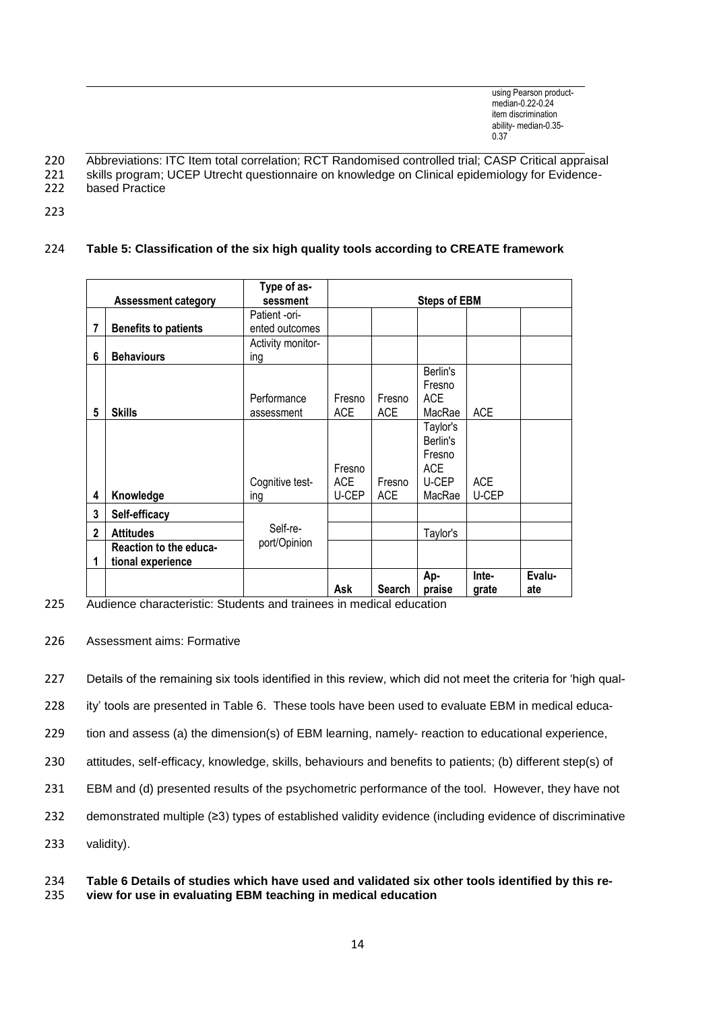- 220 Abbreviations: ITC Item total correlation; RCT Randomised controlled trial; CASP Critical appraisal
- 221 skills program; UCEP Utrecht questionnaire on knowledge on Clinical epidemiology for Evidence-
- 222 based Practice
- 223

# 224 **Table 5: Classification of the six high quality tools according to CREATE framework**

|              |                             | Type of as-       |                     |               |            |            |        |
|--------------|-----------------------------|-------------------|---------------------|---------------|------------|------------|--------|
|              | <b>Assessment category</b>  | sessment          | <b>Steps of EBM</b> |               |            |            |        |
|              |                             | Patient -ori-     |                     |               |            |            |        |
| 7            | <b>Benefits to patients</b> | ented outcomes    |                     |               |            |            |        |
|              |                             | Activity monitor- |                     |               |            |            |        |
| 6            | <b>Behaviours</b>           | ing               |                     |               |            |            |        |
|              |                             |                   |                     |               | Berlin's   |            |        |
|              |                             |                   |                     |               | Fresno     |            |        |
|              |                             | Performance       | Fresno              | Fresno        | <b>ACE</b> |            |        |
| 5            | <b>Skills</b>               | assessment        | <b>ACE</b>          | <b>ACE</b>    | MacRae     | <b>ACE</b> |        |
|              |                             |                   |                     |               | Taylor's   |            |        |
|              |                             |                   |                     |               | Berlin's   |            |        |
|              |                             |                   |                     |               | Fresno     |            |        |
|              |                             |                   | Fresno              |               | <b>ACE</b> |            |        |
|              |                             | Cognitive test-   | ACE                 | Fresno        | U-CEP      | <b>ACE</b> |        |
| 4            | Knowledge                   | ing               | U-CEP               | <b>ACE</b>    | MacRae     | U-CEP      |        |
| 3            | Self-efficacy               |                   |                     |               |            |            |        |
| $\mathbf{2}$ | <b>Attitudes</b>            | Self-re-          |                     |               | Taylor's   |            |        |
|              | Reaction to the educa-      | port/Opinion      |                     |               |            |            |        |
| 1            | tional experience           |                   |                     |               |            |            |        |
|              |                             |                   |                     |               | Ap-        | Inte-      | Evalu- |
|              |                             |                   | Ask                 | <b>Search</b> | praise     | grate      | ate    |

225 Audience characteristic: Students and trainees in medical education

# 226 Assessment aims: Formative

227 Details of the remaining six tools identified in this review, which did not meet the criteria for 'high qual-

228 ity' tools are presented in Table 6. These tools have been used to evaluate EBM in medical educa-

229 tion and assess (a) the dimension(s) of EBM learning, namely- reaction to educational experience,

230 attitudes, self-efficacy, knowledge, skills, behaviours and benefits to patients; (b) different step(s) of

231 EBM and (d) presented results of the psychometric performance of the tool. However, they have not

232 demonstrated multiple (≥3) types of established validity evidence (including evidence of discriminative

233 validity).

#### 234 **Table 6 Details of studies which have used and validated six other tools identified by this re-**235 **view for use in evaluating EBM teaching in medical education**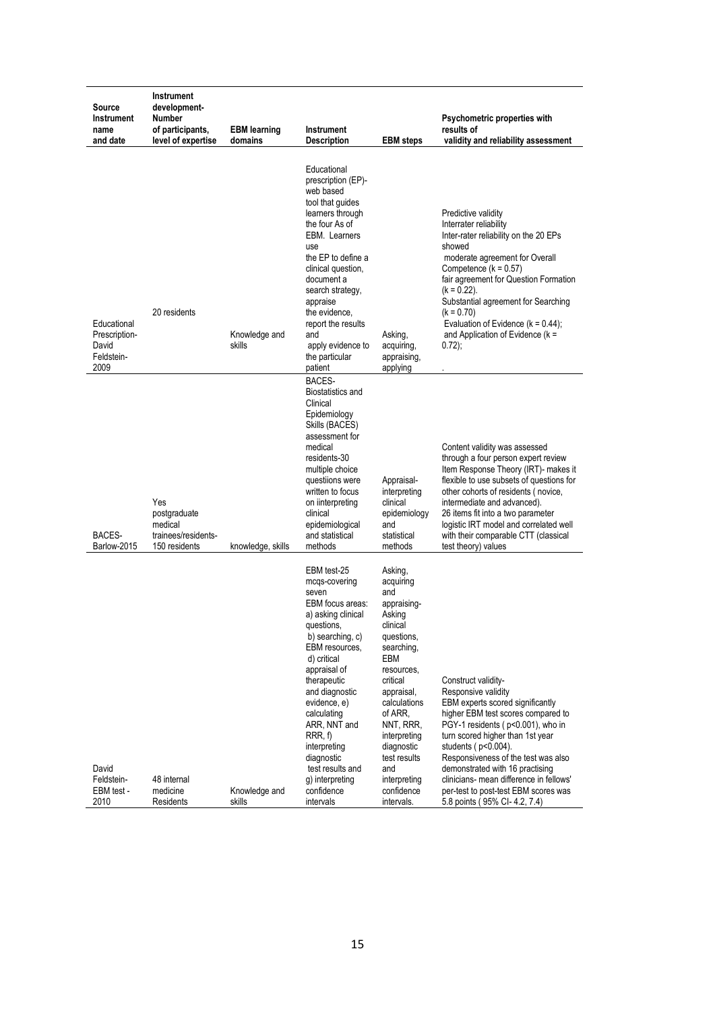| Source<br><b>Instrument</b><br>name<br>and date             | <b>Instrument</b><br>development-<br>Number<br>of participants,<br>level of expertise | <b>EBM</b> learning<br>domains | <b>Instrument</b><br><b>Description</b>                                                                                                                                                                                                                                                                                                                      | <b>EBM</b> steps                                                                                                                                                                                                                                                                     | Psychometric properties with<br>results of<br>validity and reliability assessment                                                                                                                                                                                                                                                                                                                                     |
|-------------------------------------------------------------|---------------------------------------------------------------------------------------|--------------------------------|--------------------------------------------------------------------------------------------------------------------------------------------------------------------------------------------------------------------------------------------------------------------------------------------------------------------------------------------------------------|--------------------------------------------------------------------------------------------------------------------------------------------------------------------------------------------------------------------------------------------------------------------------------------|-----------------------------------------------------------------------------------------------------------------------------------------------------------------------------------------------------------------------------------------------------------------------------------------------------------------------------------------------------------------------------------------------------------------------|
| Educational<br>Prescription-<br>David<br>Feldstein-<br>2009 | 20 residents                                                                          | Knowledge and<br>skills        | Educational<br>prescription (EP)-<br>web based<br>tool that guides<br>learners through<br>the four As of<br>EBM. Learners<br>use<br>the EP to define a<br>clinical question,<br>document a<br>search strategy,<br>appraise<br>the evidence,<br>report the results<br>and<br>apply evidence to<br>the particular<br>patient                                   | Asking,<br>acquiring,<br>appraising,<br>applying                                                                                                                                                                                                                                     | Predictive validity<br>Interrater reliability<br>Inter-rater reliability on the 20 EPs<br>showed<br>moderate agreement for Overall<br>Competence $(k = 0.57)$<br>fair agreement for Question Formation<br>$(k = 0.22)$ .<br>Substantial agreement for Searching<br>(k = 0.70)<br>Evaluation of Evidence $(k = 0.44)$ ;<br>and Application of Evidence ( $k =$<br>$0.72$ );                                            |
| BACES-<br>Barlow-2015                                       | Yes<br>postgraduate<br>medical<br>trainees/residents-<br>150 residents                | knowledge, skills              | BACES-<br>Biostatistics and<br>Clinical<br>Epidemiology<br>Skills (BACES)<br>assessment for<br>medical<br>residents-30<br>multiple choice<br>questiions were<br>written to focus<br>on iinterpreting<br>clinical<br>epidemiological<br>and statistical<br>methods                                                                                            | Appraisal-<br>interpreting<br>clinical<br>epidemiology<br>and<br>statistical<br>methods                                                                                                                                                                                              | Content validity was assessed<br>through a four person expert review<br>Item Response Theory (IRT)- makes it<br>flexible to use subsets of questions for<br>other cohorts of residents (novice,<br>intermediate and advanced).<br>26 items fit into a two parameter<br>logistic IRT model and correlated well<br>with their comparable CTT (classical<br>test theory) values                                          |
| David<br>Feldstein-<br>EBM test -<br>2010                   | 48 internal<br>medicine<br>Residents                                                  | Knowledge and<br>skills        | EBM test-25<br>mcqs-covering<br>seven<br>EBM focus areas:<br>a) asking clinical<br>questions,<br>b) searching, c)<br>EBM resources,<br>d) critical<br>appraisal of<br>therapeutic<br>and diagnostic<br>evidence, e)<br>calculating<br>ARR, NNT and<br>RRR, f<br>interpreting<br>diagnostic<br>test results and<br>g) interpreting<br>confidence<br>intervals | Asking,<br>acquiring<br>and<br>appraising-<br>Asking<br>clinical<br>questions,<br>searching,<br>EBM<br>resources,<br>critical<br>appraisal,<br>calculations<br>of ARR,<br>NNT, RRR,<br>interpreting<br>diagnostic<br>test results<br>and<br>interpreting<br>confidence<br>intervals. | Construct validity-<br>Responsive validity<br>EBM experts scored significantly<br>higher EBM test scores compared to<br>PGY-1 residents (p<0.001), who in<br>turn scored higher than 1st year<br>students ( $p<0.004$ ).<br>Responsiveness of the test was also<br>demonstrated with 16 practising<br>clinicians- mean difference in fellows'<br>per-test to post-test EBM scores was<br>5.8 points (95% CI-4.2, 7.4) |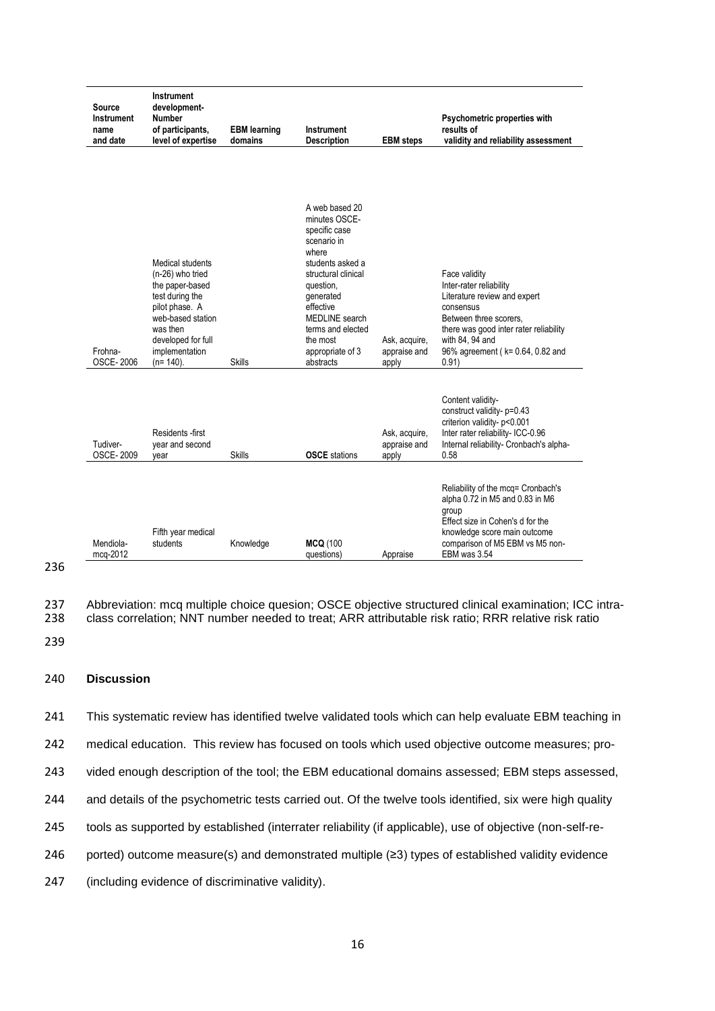| Source<br><b>Instrument</b><br>name<br>and date | <b>Instrument</b><br>development-<br>Number<br>of participants,<br>level of expertise                                                                                                | <b>EBM</b> learning<br>domains | <b>Instrument</b><br><b>Description</b>                                                                                                                                                                                                               | <b>EBM</b> steps                       | Psychometric properties with<br>results of<br>validity and reliability assessment                                                                                                                                         |
|-------------------------------------------------|--------------------------------------------------------------------------------------------------------------------------------------------------------------------------------------|--------------------------------|-------------------------------------------------------------------------------------------------------------------------------------------------------------------------------------------------------------------------------------------------------|----------------------------------------|---------------------------------------------------------------------------------------------------------------------------------------------------------------------------------------------------------------------------|
| Frohna-<br><b>OSCE-2006</b>                     | Medical students<br>(n-26) who tried<br>the paper-based<br>test during the<br>pilot phase. A<br>web-based station<br>was then<br>developed for full<br>implementation<br>$(n=140)$ . | <b>Skills</b>                  | A web based 20<br>minutes OSCE-<br>specific case<br>scenario in<br>where<br>students asked a<br>structural clinical<br>question,<br>generated<br>effective<br><b>MEDLINE</b> search<br>terms and elected<br>the most<br>appropriate of 3<br>abstracts | Ask, acquire,<br>appraise and<br>apply | Face validity<br>Inter-rater reliability<br>Literature review and expert<br>consensus<br>Between three scorers,<br>there was good inter rater reliability<br>with 84, 94 and<br>96% agreement (k= 0.64, 0.82 and<br>0.91) |
| Tudiver-<br><b>OSCE-2009</b>                    | Residents -first<br>year and second<br>vear                                                                                                                                          | <b>Skills</b>                  | <b>OSCE</b> stations                                                                                                                                                                                                                                  | Ask, acquire,<br>appraise and<br>apply | Content validity-<br>construct validity- p=0.43<br>criterion validity- p<0.001<br>Inter rater reliability- ICC-0.96<br>Internal reliability- Cronbach's alpha-<br>0.58                                                    |
| Mendiola-<br>mcg-2012                           | Fifth year medical<br>students                                                                                                                                                       | Knowledge                      | <b>MCQ (100</b><br>questions)                                                                                                                                                                                                                         | Appraise                               | Reliability of the mcq= Cronbach's<br>alpha 0.72 in M5 and 0.83 in M6<br>group<br>Effect size in Cohen's d for the<br>knowledge score main outcome<br>comparison of M5 EBM vs M5 non-<br>EBM was 3.54                     |

237 Abbreviation: mcq multiple choice quesion; OSCE objective structured clinical examination; ICC intra-<br>238 class correlation; NNT number needed to treat; ARR attributable risk ratio; RRR relative risk ratio class correlation; NNT number needed to treat; ARR attributable risk ratio; RRR relative risk ratio

239

236

# 240 **Discussion**

241 This systematic review has identified twelve validated tools which can help evaluate EBM teaching in

242 medical education. This review has focused on tools which used objective outcome measures; pro-

243 vided enough description of the tool; the EBM educational domains assessed; EBM steps assessed,

244 and details of the psychometric tests carried out. Of the twelve tools identified, six were high quality

- 245 tools as supported by established (interrater reliability (if applicable), use of objective (non-self-re-
- 246 ported) outcome measure(s) and demonstrated multiple (≥3) types of established validity evidence
- 247 (including evidence of discriminative validity).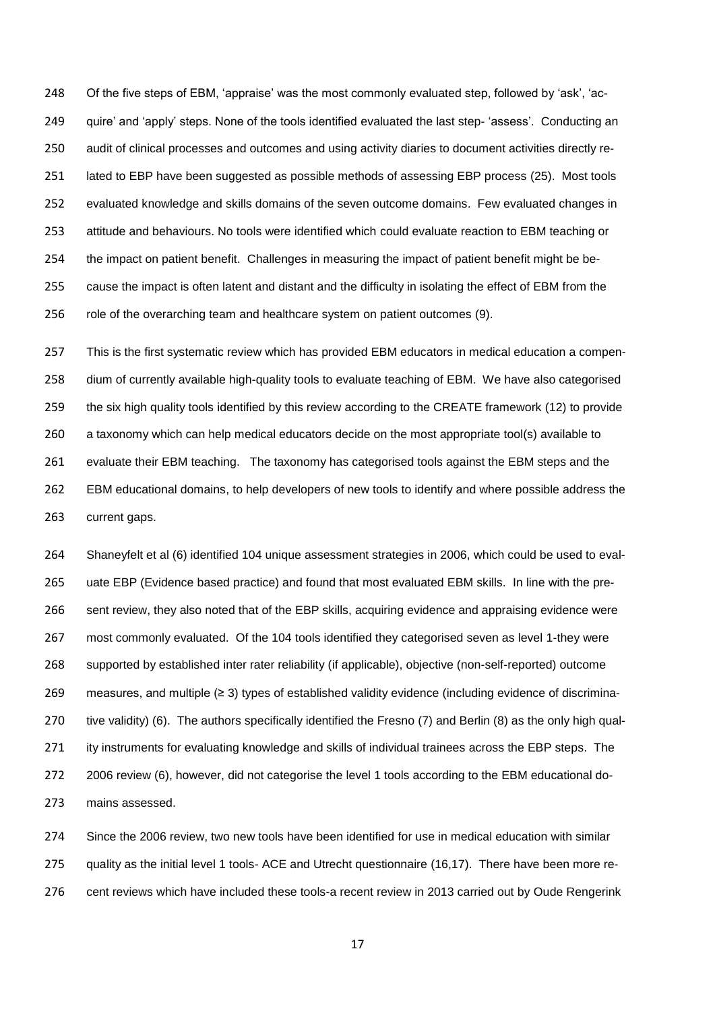Of the five steps of EBM, 'appraise' was the most commonly evaluated step, followed by 'ask', 'ac- quire' and 'apply' steps. None of the tools identified evaluated the last step- 'assess'. Conducting an audit of clinical processes and outcomes and using activity diaries to document activities directly re-251 lated to EBP have been suggested as possible methods of assessing EBP process (25). Most tools evaluated knowledge and skills domains of the seven outcome domains. Few evaluated changes in attitude and behaviours. No tools were identified which could evaluate reaction to EBM teaching or the impact on patient benefit. Challenges in measuring the impact of patient benefit might be be- cause the impact is often latent and distant and the difficulty in isolating the effect of EBM from the role of the overarching team and healthcare system on patient outcomes (9).

 This is the first systematic review which has provided EBM educators in medical education a compen- dium of currently available high-quality tools to evaluate teaching of EBM. We have also categorised the six high quality tools identified by this review according to the CREATE framework (12) to provide a taxonomy which can help medical educators decide on the most appropriate tool(s) available to evaluate their EBM teaching. The taxonomy has categorised tools against the EBM steps and the EBM educational domains, to help developers of new tools to identify and where possible address the current gaps.

 Shaneyfelt et al (6) identified 104 unique assessment strategies in 2006, which could be used to eval- uate EBP (Evidence based practice) and found that most evaluated EBM skills. In line with the pre- sent review, they also noted that of the EBP skills, acquiring evidence and appraising evidence were most commonly evaluated. Of the 104 tools identified they categorised seven as level 1-they were supported by established inter rater reliability (if applicable), objective (non-self-reported) outcome measures, and multiple (≥ 3) types of established validity evidence (including evidence of discrimina-270 tive validity) (6). The authors specifically identified the Fresno (7) and Berlin (8) as the only high qual- ity instruments for evaluating knowledge and skills of individual trainees across the EBP steps. The 2006 review (6), however, did not categorise the level 1 tools according to the EBM educational do-mains assessed.

 Since the 2006 review, two new tools have been identified for use in medical education with similar 275 quality as the initial level 1 tools- ACE and Utrecht questionnaire (16,17). There have been more re-cent reviews which have included these tools-a recent review in 2013 carried out by Oude Rengerink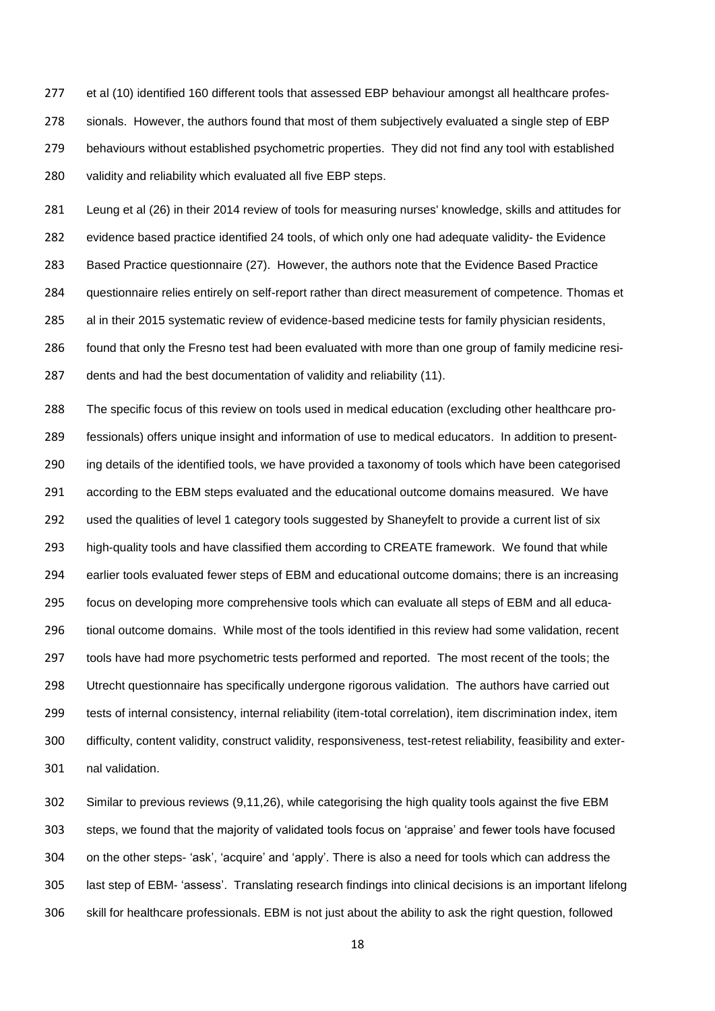et al (10) identified 160 different tools that assessed EBP behaviour amongst all healthcare profes- sionals. However, the authors found that most of them subjectively evaluated a single step of EBP behaviours without established psychometric properties. They did not find any tool with established validity and reliability which evaluated all five EBP steps.

 Leung et al (26) in their 2014 review of tools for measuring nurses' knowledge, skills and attitudes for evidence based practice identified 24 tools, of which only one had adequate validity- the Evidence Based Practice questionnaire (27). However, the authors note that the Evidence Based Practice questionnaire relies entirely on self-report rather than direct measurement of competence. Thomas et al in their 2015 systematic review of evidence-based medicine tests for family physician residents, found that only the Fresno test had been evaluated with more than one group of family medicine resi-287 dents and had the best documentation of validity and reliability (11).

 The specific focus of this review on tools used in medical education (excluding other healthcare pro- fessionals) offers unique insight and information of use to medical educators. In addition to present- ing details of the identified tools, we have provided a taxonomy of tools which have been categorised 291 according to the EBM steps evaluated and the educational outcome domains measured. We have used the qualities of level 1 category tools suggested by Shaneyfelt to provide a current list of six high-quality tools and have classified them according to CREATE framework. We found that while earlier tools evaluated fewer steps of EBM and educational outcome domains; there is an increasing focus on developing more comprehensive tools which can evaluate all steps of EBM and all educa- tional outcome domains. While most of the tools identified in this review had some validation, recent tools have had more psychometric tests performed and reported. The most recent of the tools; the Utrecht questionnaire has specifically undergone rigorous validation. The authors have carried out tests of internal consistency, internal reliability (item-total correlation), item discrimination index, item difficulty, content validity, construct validity, responsiveness, test-retest reliability, feasibility and exter-nal validation.

 Similar to previous reviews (9,11,26), while categorising the high quality tools against the five EBM steps, we found that the majority of validated tools focus on 'appraise' and fewer tools have focused on the other steps- 'ask', 'acquire' and 'apply'. There is also a need for tools which can address the last step of EBM- 'assess'. Translating research findings into clinical decisions is an important lifelong skill for healthcare professionals. EBM is not just about the ability to ask the right question, followed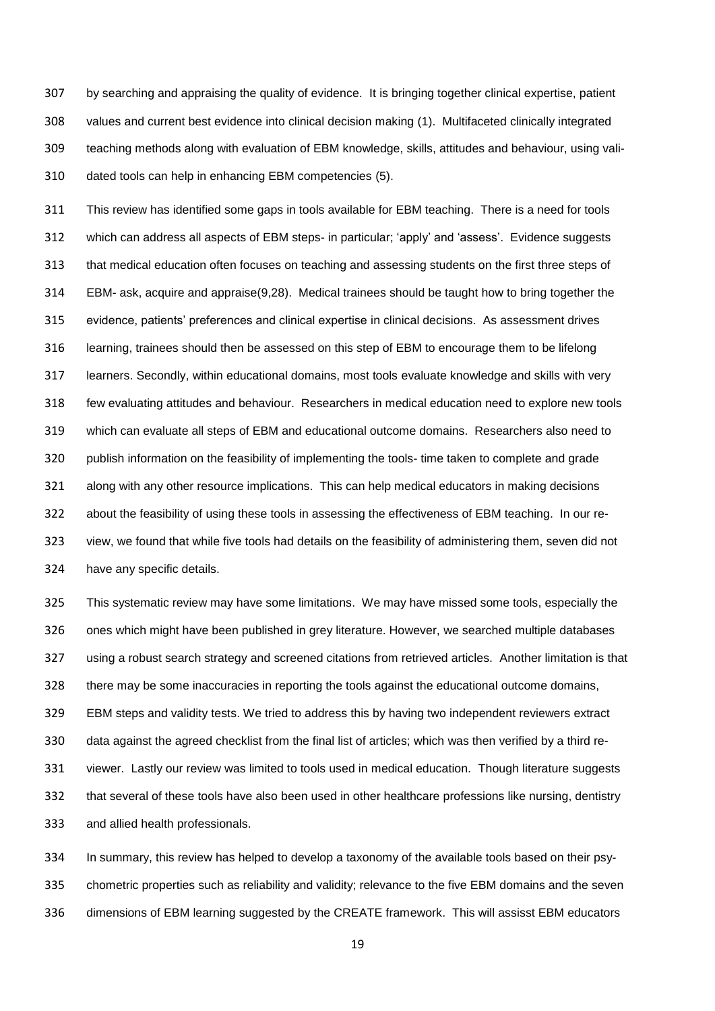by searching and appraising the quality of evidence. It is bringing together clinical expertise, patient values and current best evidence into clinical decision making (1). Multifaceted clinically integrated teaching methods along with evaluation of EBM knowledge, skills, attitudes and behaviour, using vali-dated tools can help in enhancing EBM competencies (5).

 This review has identified some gaps in tools available for EBM teaching. There is a need for tools which can address all aspects of EBM steps- in particular; 'apply' and 'assess'. Evidence suggests that medical education often focuses on teaching and assessing students on the first three steps of EBM- ask, acquire and appraise(9,28). Medical trainees should be taught how to bring together the evidence, patients' preferences and clinical expertise in clinical decisions. As assessment drives learning, trainees should then be assessed on this step of EBM to encourage them to be lifelong learners. Secondly, within educational domains, most tools evaluate knowledge and skills with very few evaluating attitudes and behaviour. Researchers in medical education need to explore new tools which can evaluate all steps of EBM and educational outcome domains. Researchers also need to publish information on the feasibility of implementing the tools- time taken to complete and grade along with any other resource implications. This can help medical educators in making decisions about the feasibility of using these tools in assessing the effectiveness of EBM teaching. In our re- view, we found that while five tools had details on the feasibility of administering them, seven did not have any specific details.

 This systematic review may have some limitations. We may have missed some tools, especially the ones which might have been published in grey literature. However, we searched multiple databases using a robust search strategy and screened citations from retrieved articles. Another limitation is that there may be some inaccuracies in reporting the tools against the educational outcome domains, EBM steps and validity tests. We tried to address this by having two independent reviewers extract data against the agreed checklist from the final list of articles; which was then verified by a third re- viewer. Lastly our review was limited to tools used in medical education. Though literature suggests that several of these tools have also been used in other healthcare professions like nursing, dentistry and allied health professionals.

 In summary, this review has helped to develop a taxonomy of the available tools based on their psy- chometric properties such as reliability and validity; relevance to the five EBM domains and the seven dimensions of EBM learning suggested by the CREATE framework. This will assisst EBM educators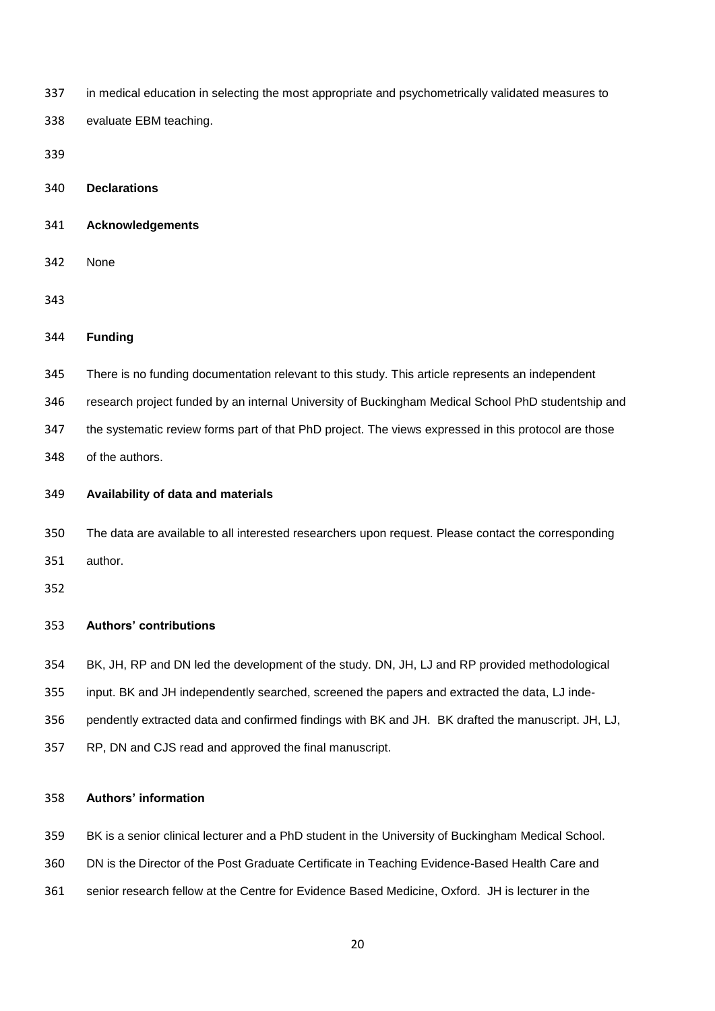in medical education in selecting the most appropriate and psychometrically validated measures to

evaluate EBM teaching.

**Declarations**

- **Acknowledgements**
- None

### **Funding**

- There is no funding documentation relevant to this study. This article represents an independent
- research project funded by an internal University of Buckingham Medical School PhD studentship and
- the systematic review forms part of that PhD project. The views expressed in this protocol are those
- of the authors.
- **Availability of data and materials**
- The data are available to all interested researchers upon request. Please contact the corresponding author.

# **Authors' contributions**

- BK, JH, RP and DN led the development of the study. DN, JH, LJ and RP provided methodological
- input. BK and JH independently searched, screened the papers and extracted the data, LJ inde-
- pendently extracted data and confirmed findings with BK and JH. BK drafted the manuscript. JH, LJ,
- RP, DN and CJS read and approved the final manuscript.

# **Authors' information**

- BK is a senior clinical lecturer and a PhD student in the University of Buckingham Medical School.
- DN is the Director of the Post Graduate Certificate in Teaching Evidence-Based Health Care and
- senior research fellow at the Centre for Evidence Based Medicine, Oxford. JH is lecturer in the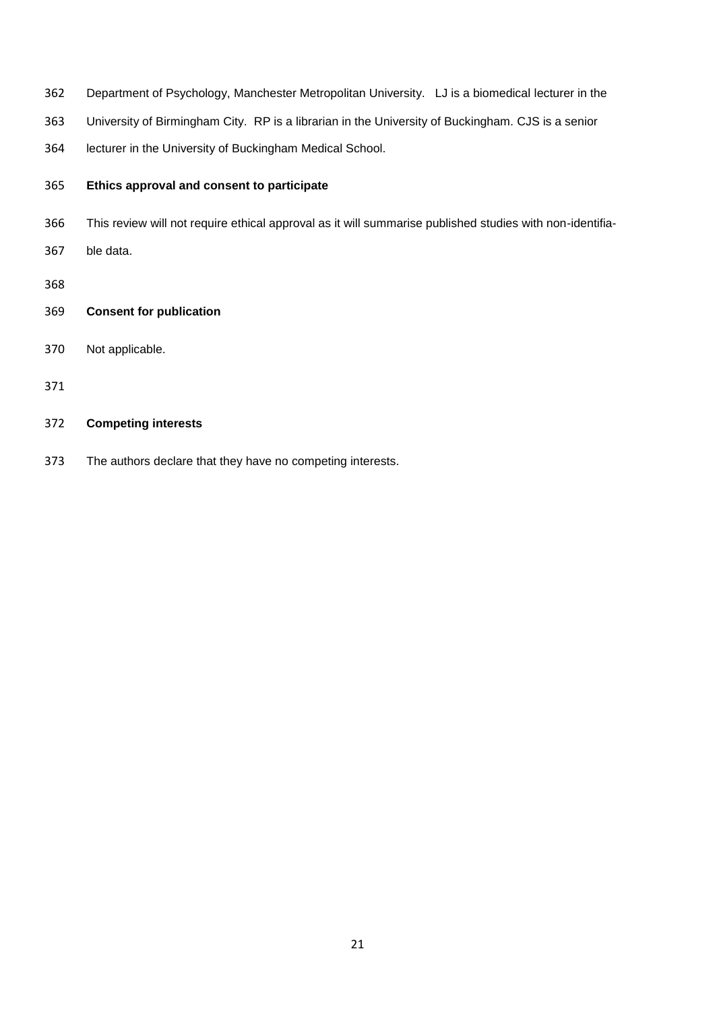- Department of Psychology, Manchester Metropolitan University. LJ is a biomedical lecturer in the
- University of Birmingham City. RP is a librarian in the University of Buckingham. CJS is a senior
- lecturer in the University of Buckingham Medical School.

# **Ethics approval and consent to participate**

- This review will not require ethical approval as it will summarise published studies with non-identifia-
- ble data.
- 
- **Consent for publication**
- Not applicable.
- 

# **Competing interests**

The authors declare that they have no competing interests.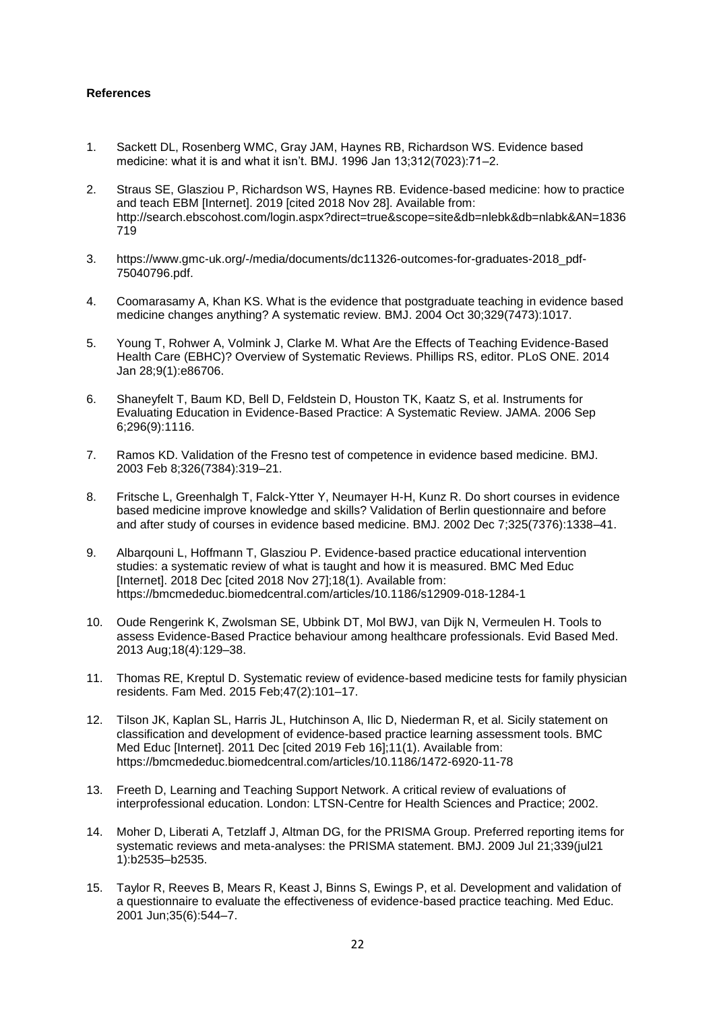### **References**

- 1. Sackett DL, Rosenberg WMC, Gray JAM, Haynes RB, Richardson WS. Evidence based medicine: what it is and what it isn't. BMJ. 1996 Jan 13;312(7023):71–2.
- 2. Straus SE, Glasziou P, Richardson WS, Haynes RB. Evidence-based medicine: how to practice and teach EBM [Internet]. 2019 [cited 2018 Nov 28]. Available from: http://search.ebscohost.com/login.aspx?direct=true&scope=site&db=nlebk&db=nlabk&AN=1836 719
- 3. https://www.gmc-uk.org/-/media/documents/dc11326-outcomes-for-graduates-2018\_pdf-75040796.pdf.
- 4. Coomarasamy A, Khan KS. What is the evidence that postgraduate teaching in evidence based medicine changes anything? A systematic review. BMJ. 2004 Oct 30;329(7473):1017.
- 5. Young T, Rohwer A, Volmink J, Clarke M. What Are the Effects of Teaching Evidence-Based Health Care (EBHC)? Overview of Systematic Reviews. Phillips RS, editor. PLoS ONE. 2014 Jan 28;9(1):e86706.
- 6. Shaneyfelt T, Baum KD, Bell D, Feldstein D, Houston TK, Kaatz S, et al. Instruments for Evaluating Education in Evidence-Based Practice: A Systematic Review. JAMA. 2006 Sep 6;296(9):1116.
- 7. Ramos KD. Validation of the Fresno test of competence in evidence based medicine. BMJ. 2003 Feb 8;326(7384):319–21.
- 8. Fritsche L, Greenhalgh T, Falck-Ytter Y, Neumayer H-H, Kunz R. Do short courses in evidence based medicine improve knowledge and skills? Validation of Berlin questionnaire and before and after study of courses in evidence based medicine. BMJ. 2002 Dec 7;325(7376):1338–41.
- 9. Albarqouni L, Hoffmann T, Glasziou P. Evidence-based practice educational intervention studies: a systematic review of what is taught and how it is measured. BMC Med Educ [Internet]. 2018 Dec [cited 2018 Nov 27];18(1). Available from: https://bmcmededuc.biomedcentral.com/articles/10.1186/s12909-018-1284-1
- 10. Oude Rengerink K, Zwolsman SE, Ubbink DT, Mol BWJ, van Dijk N, Vermeulen H. Tools to assess Evidence-Based Practice behaviour among healthcare professionals. Evid Based Med. 2013 Aug;18(4):129–38.
- 11. Thomas RE, Kreptul D. Systematic review of evidence-based medicine tests for family physician residents. Fam Med. 2015 Feb;47(2):101–17.
- 12. Tilson JK, Kaplan SL, Harris JL, Hutchinson A, Ilic D, Niederman R, et al. Sicily statement on classification and development of evidence-based practice learning assessment tools. BMC Med Educ [Internet]. 2011 Dec [cited 2019 Feb 16]:11(1). Available from: https://bmcmededuc.biomedcentral.com/articles/10.1186/1472-6920-11-78
- 13. Freeth D, Learning and Teaching Support Network. A critical review of evaluations of interprofessional education. London: LTSN-Centre for Health Sciences and Practice; 2002.
- 14. Moher D, Liberati A, Tetzlaff J, Altman DG, for the PRISMA Group. Preferred reporting items for systematic reviews and meta-analyses: the PRISMA statement. BMJ. 2009 Jul 21;339(jul21 1):b2535–b2535.
- 15. Taylor R, Reeves B, Mears R, Keast J, Binns S, Ewings P, et al. Development and validation of a questionnaire to evaluate the effectiveness of evidence-based practice teaching. Med Educ. 2001 Jun;35(6):544–7.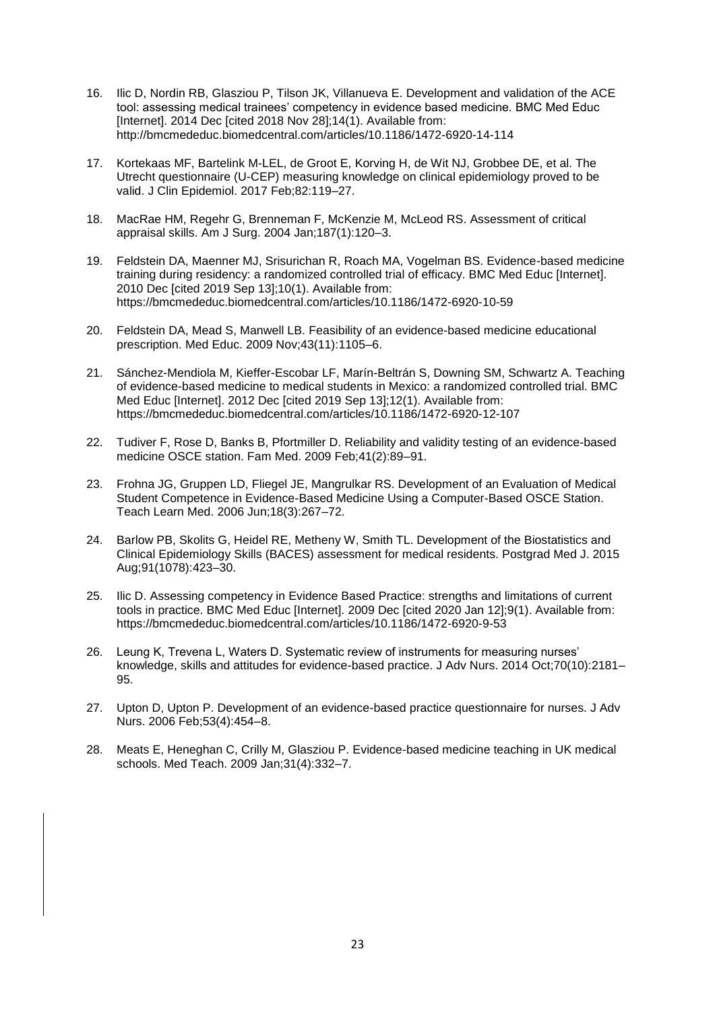- 16. Ilic D, Nordin RB, Glasziou P, Tilson JK, Villanueva E. Development and validation of the ACE tool: assessing medical trainees' competency in evidence based medicine. BMC Med Educ [Internet]. 2014 Dec [cited 2018 Nov 28];14(1). Available from: http://bmcmededuc.biomedcentral.com/articles/10.1186/1472-6920-14-114
- 17. Kortekaas MF, Bartelink M-LEL, de Groot E, Korving H, de Wit NJ, Grobbee DE, et al. The Utrecht questionnaire (U-CEP) measuring knowledge on clinical epidemiology proved to be valid. J Clin Epidemiol. 2017 Feb;82:119–27.
- 18. MacRae HM, Regehr G, Brenneman F, McKenzie M, McLeod RS. Assessment of critical appraisal skills. Am J Surg. 2004 Jan;187(1):120–3.
- 19. Feldstein DA, Maenner MJ, Srisurichan R, Roach MA, Vogelman BS. Evidence-based medicine training during residency: a randomized controlled trial of efficacy. BMC Med Educ [Internet]. 2010 Dec [cited 2019 Sep 13];10(1). Available from: https://bmcmededuc.biomedcentral.com/articles/10.1186/1472-6920-10-59
- 20. Feldstein DA, Mead S, Manwell LB. Feasibility of an evidence-based medicine educational prescription. Med Educ. 2009 Nov;43(11):1105–6.
- 21. Sánchez-Mendiola M, Kieffer-Escobar LF, Marín-Beltrán S, Downing SM, Schwartz A. Teaching of evidence-based medicine to medical students in Mexico: a randomized controlled trial. BMC Med Educ [Internet]. 2012 Dec [cited 2019 Sep 13];12(1). Available from: https://bmcmededuc.biomedcentral.com/articles/10.1186/1472-6920-12-107
- 22. Tudiver F, Rose D, Banks B, Pfortmiller D. Reliability and validity testing of an evidence-based medicine OSCE station. Fam Med. 2009 Feb;41(2):89–91.
- 23. Frohna JG, Gruppen LD, Fliegel JE, Mangrulkar RS. Development of an Evaluation of Medical Student Competence in Evidence-Based Medicine Using a Computer-Based OSCE Station. Teach Learn Med. 2006 Jun;18(3):267–72.
- 24. Barlow PB, Skolits G, Heidel RE, Metheny W, Smith TL. Development of the Biostatistics and Clinical Epidemiology Skills (BACES) assessment for medical residents. Postgrad Med J. 2015 Aug;91(1078):423–30.
- 25. Ilic D. Assessing competency in Evidence Based Practice: strengths and limitations of current tools in practice. BMC Med Educ [Internet]. 2009 Dec [cited 2020 Jan 12];9(1). Available from: https://bmcmededuc.biomedcentral.com/articles/10.1186/1472-6920-9-53
- 26. Leung K, Trevena L, Waters D. Systematic review of instruments for measuring nurses' knowledge, skills and attitudes for evidence-based practice. J Adv Nurs. 2014 Oct;70(10):2181– 95.
- 27. Upton D, Upton P. Development of an evidence-based practice questionnaire for nurses. J Adv Nurs. 2006 Feb;53(4):454–8.
- 28. Meats E, Heneghan C, Crilly M, Glasziou P. Evidence-based medicine teaching in UK medical schools. Med Teach. 2009 Jan;31(4):332–7.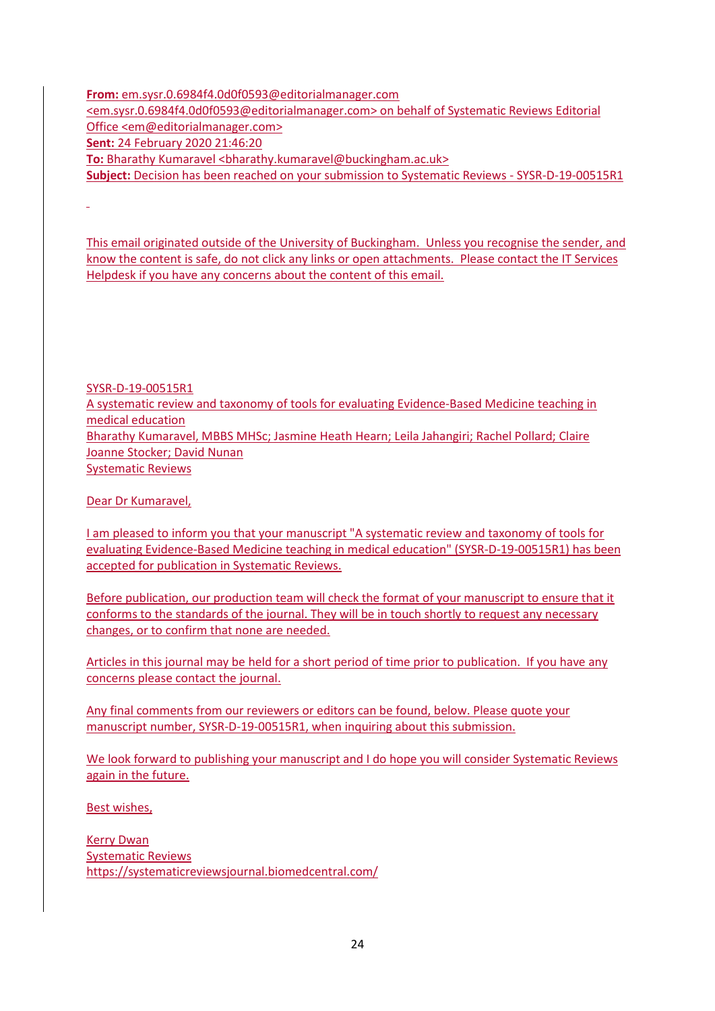**From:** [em.sysr.0.6984f4.0d0f0593@editorialmanager.com](mailto:em.sysr.0.6984f4.0d0f0593@editorialmanager.com) [<em.sysr.0.6984f4.0d0f0593@editorialmanager.com>](mailto:em.sysr.0.6984f4.0d0f0593@editorialmanager.com) on behalf of Systematic Reviews Editorial Office [<em@editorialmanager.com>](mailto:em@editorialmanager.com) **Sent:** 24 February 2020 21:46:20 **To:** Bharathy Kumaravel <br />bharathy.kumaravel@buckingham.ac.uk> **Subject:** Decision has been reached on your submission to Systematic Reviews - SYSR-D-19-00515R1

This email originated outside of the University of Buckingham. Unless you recognise the sender, and know the content is safe, do not click any links or open attachments. Please contact the IT Services Helpdesk if you have any concerns about the content of this email.

SYSR-D-19-00515R1

A systematic review and taxonomy of tools for evaluating Evidence-Based Medicine teaching in medical education Bharathy Kumaravel, MBBS MHSc; Jasmine Heath Hearn; Leila Jahangiri; Rachel Pollard; Claire Joanne Stocker; David Nunan Systematic Reviews

Dear Dr Kumaravel,

I am pleased to inform you that your manuscript "A systematic review and taxonomy of tools for evaluating Evidence-Based Medicine teaching in medical education" (SYSR-D-19-00515R1) has been accepted for publication in Systematic Reviews.

Before publication, our production team will check the format of your manuscript to ensure that it conforms to the standards of the journal. They will be in touch shortly to request any necessary changes, or to confirm that none are needed.

Articles in this journal may be held for a short period of time prior to publication. If you have any concerns please contact the journal.

Any final comments from our reviewers or editors can be found, below. Please quote your manuscript number, SYSR-D-19-00515R1, when inquiring about this submission.

We look forward to publishing your manuscript and I do hope you will consider Systematic Reviews again in the future.

Best wishes,

Kerry Dwan Systematic Reviews <https://systematicreviewsjournal.biomedcentral.com/>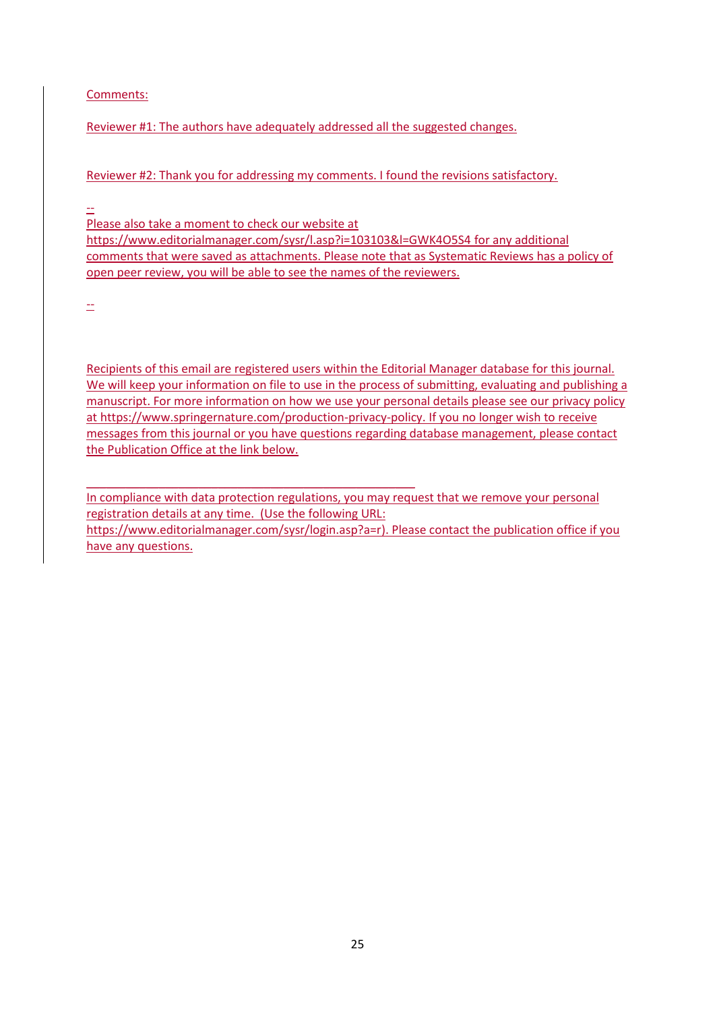Comments:

Reviewer #1: The authors have adequately addressed all the suggested changes.

Reviewer #2: Thank you for addressing my comments. I found the revisions satisfactory.

--

Please also take a moment to check our website at

\_\_\_\_\_\_\_\_\_\_\_\_\_\_\_\_\_\_\_\_\_\_\_\_\_\_\_\_\_\_\_\_\_\_\_\_\_\_\_\_\_\_\_\_\_\_\_\_\_\_

<https://www.editorialmanager.com/sysr/l.asp?i=103103&l=GWK4O5S4> for any additional comments that were saved as attachments. Please note that as Systematic Reviews has a policy of open peer review, you will be able to see the names of the reviewers.

--

Recipients of this email are registered users within the Editorial Manager database for this journal. We will keep your information on file to use in the process of submitting, evaluating and publishing a manuscript. For more information on how we use your personal details please see our privacy policy a[t https://www.springernature.com/production-privacy-policy.](https://www.springernature.com/production-privacy-policy) If you no longer wish to receive messages from this journal or you have questions regarding database management, please contact the Publication Office at the link below.

In compliance with data protection regulations, you may request that we remove your personal registration details at any time. (Use the following URL: [https://www.editorialmanager.com/sysr/login.asp?a=r\)](https://www.editorialmanager.com/sysr/login.asp?a=r). Please contact the publication office if you have any questions.